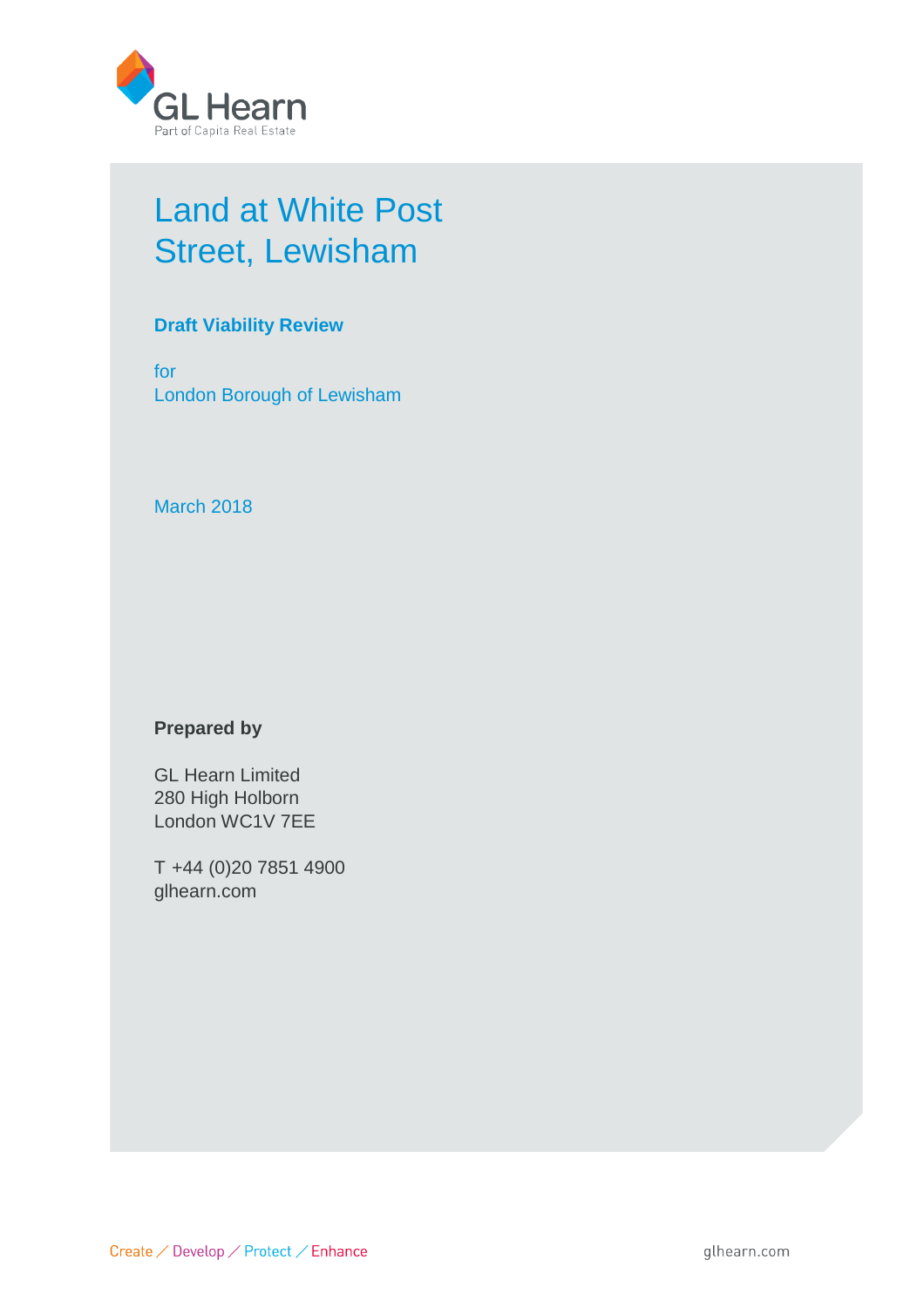

# Land at White Post Street, Lewisham

# **Draft Viability Review**

for London Borough of Lewisham

March 2018

# **Prepared by**

GL Hearn Limited 280 High Holborn London WC1V 7EE

T +44 (0)20 7851 4900 glhearn.com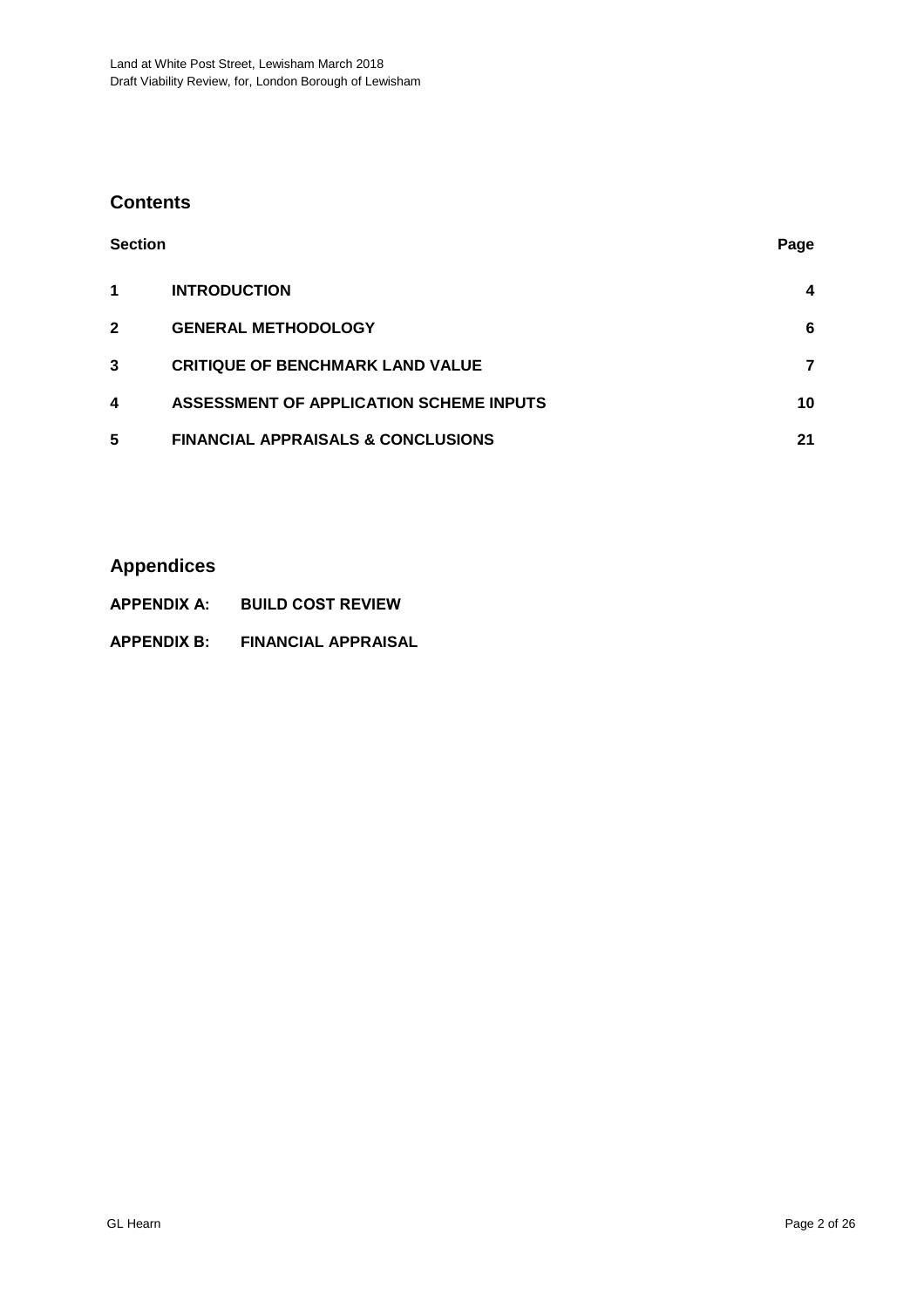# **Contents**

| <b>Section</b> |                                               | Page |
|----------------|-----------------------------------------------|------|
| 1              | <b>INTRODUCTION</b>                           | 4    |
| $\mathbf{2}$   | <b>GENERAL METHODOLOGY</b>                    | 6    |
| 3              | <b>CRITIQUE OF BENCHMARK LAND VALUE</b>       | 7    |
| 4              | ASSESSMENT OF APPLICATION SCHEME INPUTS       | 10   |
| 5              | <b>FINANCIAL APPRAISALS &amp; CONCLUSIONS</b> | 21   |

# **Appendices**

- **APPENDIX A: BUILD COST REVIEW**
- **APPENDIX B: FINANCIAL APPRAISAL**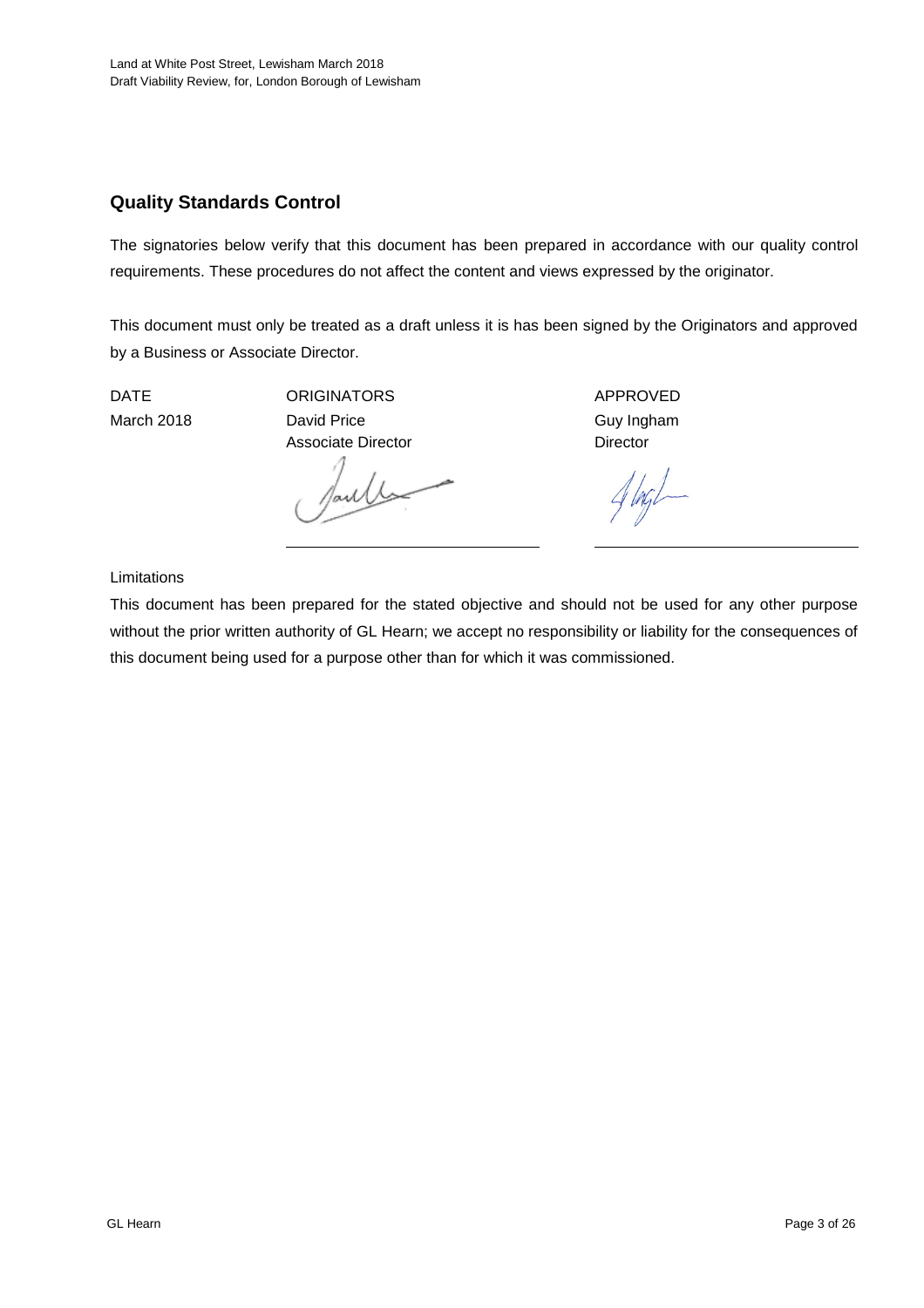# **Quality Standards Control**

The signatories below verify that this document has been prepared in accordance with our quality control requirements. These procedures do not affect the content and views expressed by the originator.

This document must only be treated as a draft unless it is has been signed by the Originators and approved by a Business or Associate Director.

DATE ORIGINATORS APPROVED March 2018 **David Price** Guy Ingham Associate Director **Director** Director

faith

Alagh

Limitations

This document has been prepared for the stated objective and should not be used for any other purpose without the prior written authority of GL Hearn; we accept no responsibility or liability for the consequences of this document being used for a purpose other than for which it was commissioned.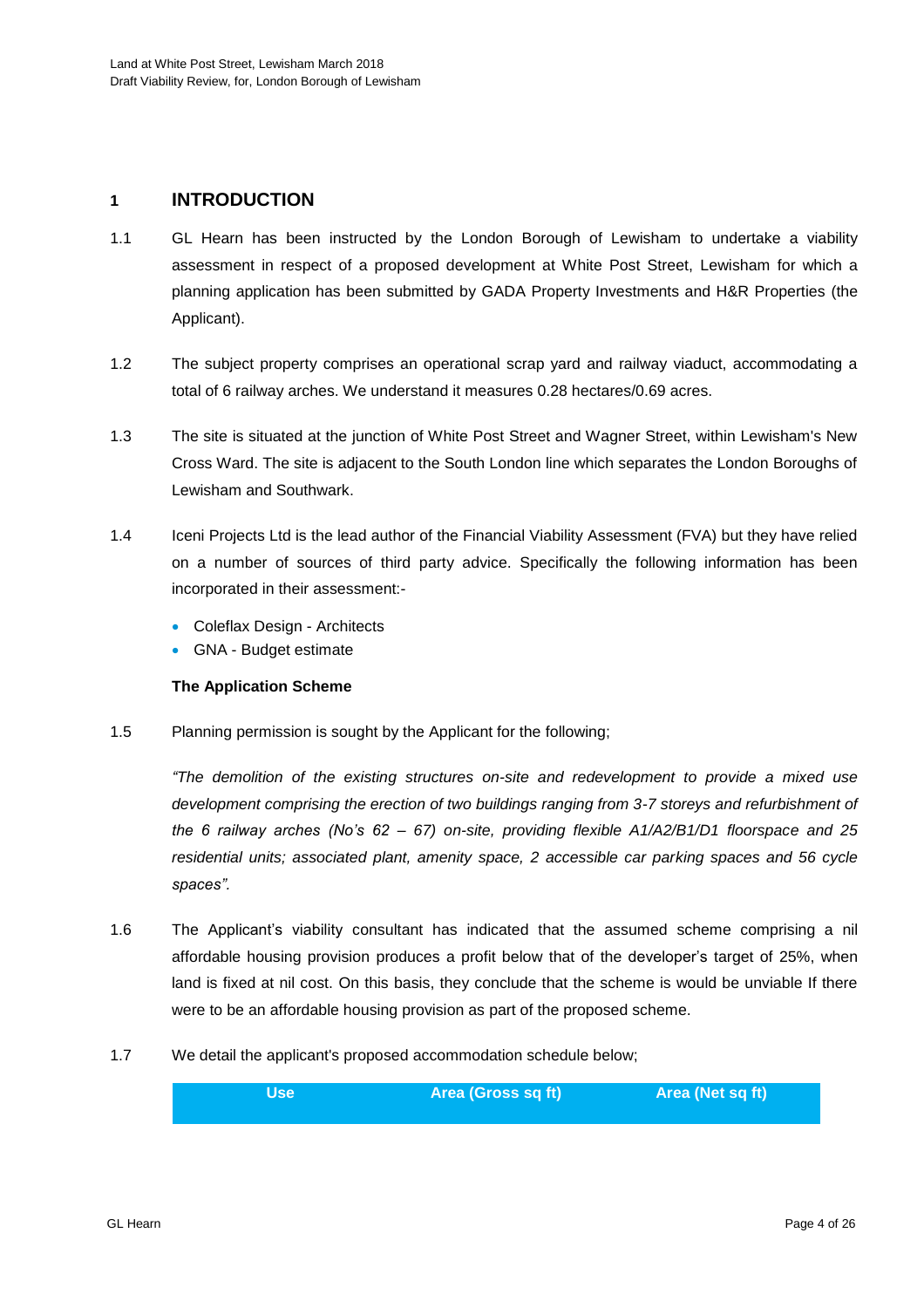## **1 INTRODUCTION**

- 1.1 GL Hearn has been instructed by the London Borough of Lewisham to undertake a viability assessment in respect of a proposed development at White Post Street, Lewisham for which a planning application has been submitted by GADA Property Investments and H&R Properties (the Applicant).
- 1.2 The subject property comprises an operational scrap yard and railway viaduct, accommodating a total of 6 railway arches. We understand it measures 0.28 hectares/0.69 acres.
- 1.3 The site is situated at the junction of White Post Street and Wagner Street, within Lewisham's New Cross Ward. The site is adjacent to the South London line which separates the London Boroughs of Lewisham and Southwark.
- 1.4 Iceni Projects Ltd is the lead author of the Financial Viability Assessment (FVA) but they have relied on a number of sources of third party advice. Specifically the following information has been incorporated in their assessment:-
	- Coleflax Design Architects
	- GNA Budget estimate

#### **The Application Scheme**

1.5 Planning permission is sought by the Applicant for the following;

*"The demolition of the existing structures on-site and redevelopment to provide a mixed use development comprising the erection of two buildings ranging from 3-7 storeys and refurbishment of the 6 railway arches (No's 62 – 67) on-site, providing flexible A1/A2/B1/D1 floorspace and 25 residential units; associated plant, amenity space, 2 accessible car parking spaces and 56 cycle spaces".*

- 1.6 The Applicant's viability consultant has indicated that the assumed scheme comprising a nil affordable housing provision produces a profit below that of the developer's target of 25%, when land is fixed at nil cost. On this basis, they conclude that the scheme is would be unviable If there were to be an affordable housing provision as part of the proposed scheme.
- 1.7 We detail the applicant's proposed accommodation schedule below;

| Use: | Area (Gross sq ft) | Area (Net sq ft) |
|------|--------------------|------------------|
|      |                    |                  |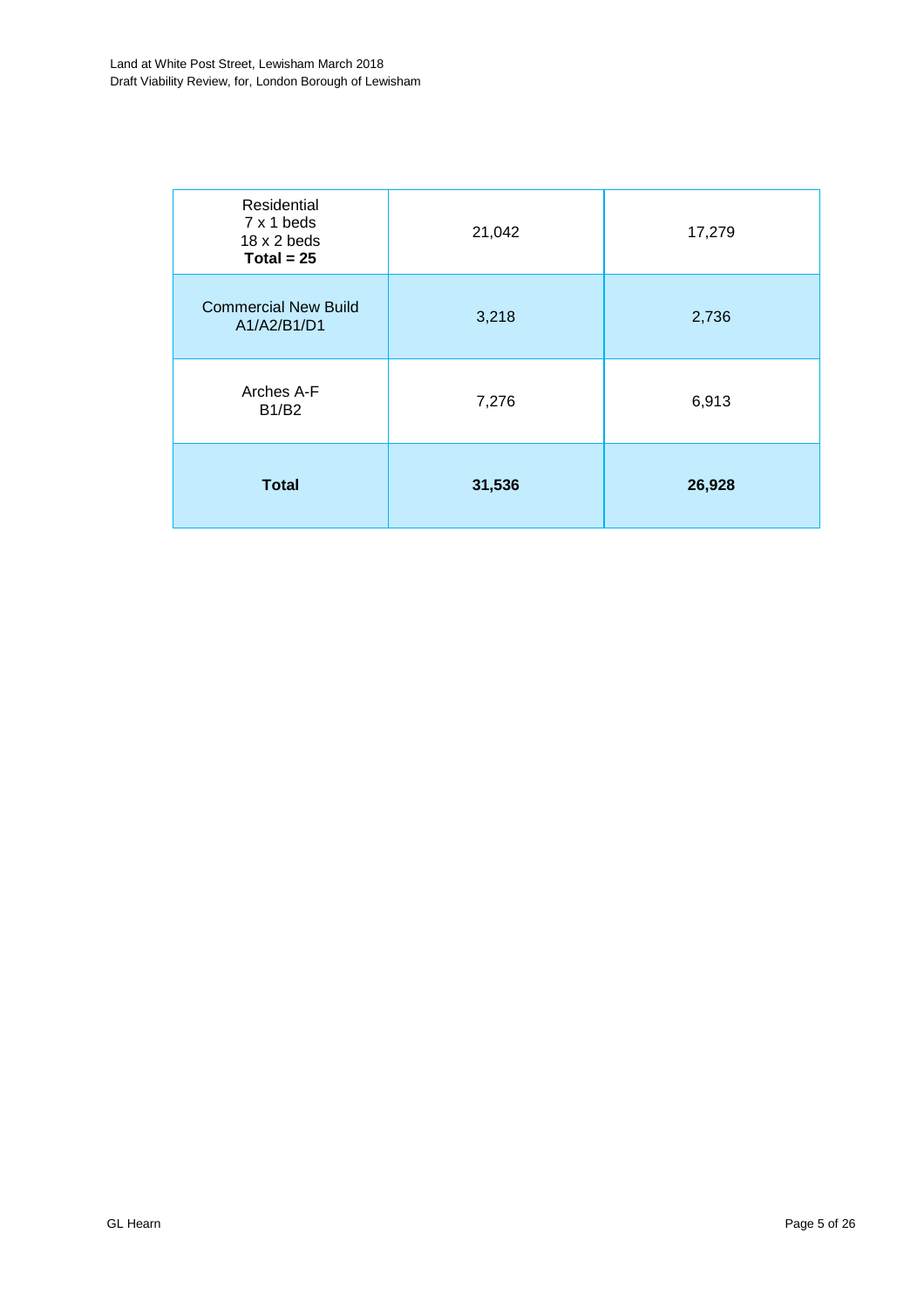| Residential<br>7 x 1 beds<br>$18 \times 2$ beds<br>Total = $25$ | 21,042 | 17,279 |
|-----------------------------------------------------------------|--------|--------|
| <b>Commercial New Build</b><br>A1/A2/B1/D1                      | 3,218  | 2,736  |
| Arches A-F<br><b>B1/B2</b>                                      | 7,276  | 6,913  |
| <b>Total</b>                                                    | 31,536 | 26,928 |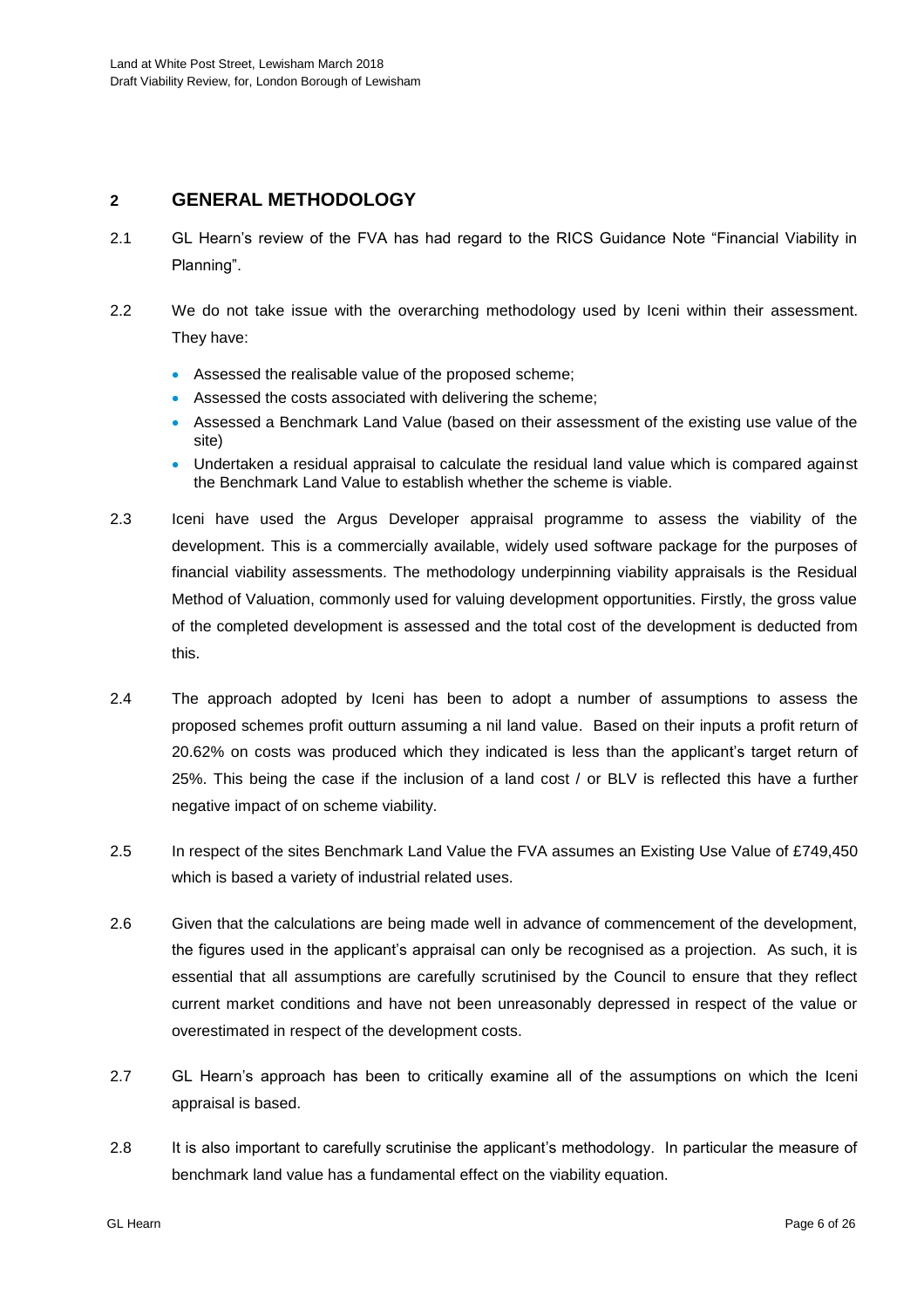# **2 GENERAL METHODOLOGY**

- 2.1 GL Hearn's review of the FVA has had regard to the RICS Guidance Note "Financial Viability in Planning".
- 2.2 We do not take issue with the overarching methodology used by Iceni within their assessment. They have:
	- Assessed the realisable value of the proposed scheme;
	- Assessed the costs associated with delivering the scheme;
	- Assessed a Benchmark Land Value (based on their assessment of the existing use value of the site)
	- Undertaken a residual appraisal to calculate the residual land value which is compared against the Benchmark Land Value to establish whether the scheme is viable.
- 2.3 Iceni have used the Argus Developer appraisal programme to assess the viability of the development. This is a commercially available, widely used software package for the purposes of financial viability assessments. The methodology underpinning viability appraisals is the Residual Method of Valuation, commonly used for valuing development opportunities. Firstly, the gross value of the completed development is assessed and the total cost of the development is deducted from this.
- 2.4 The approach adopted by Iceni has been to adopt a number of assumptions to assess the proposed schemes profit outturn assuming a nil land value. Based on their inputs a profit return of 20.62% on costs was produced which they indicated is less than the applicant's target return of 25%. This being the case if the inclusion of a land cost / or BLV is reflected this have a further negative impact of on scheme viability.
- 2.5 In respect of the sites Benchmark Land Value the FVA assumes an Existing Use Value of £749,450 which is based a variety of industrial related uses.
- 2.6 Given that the calculations are being made well in advance of commencement of the development, the figures used in the applicant's appraisal can only be recognised as a projection. As such, it is essential that all assumptions are carefully scrutinised by the Council to ensure that they reflect current market conditions and have not been unreasonably depressed in respect of the value or overestimated in respect of the development costs.
- 2.7 GL Hearn's approach has been to critically examine all of the assumptions on which the Iceni appraisal is based.
- 2.8 It is also important to carefully scrutinise the applicant's methodology. In particular the measure of benchmark land value has a fundamental effect on the viability equation.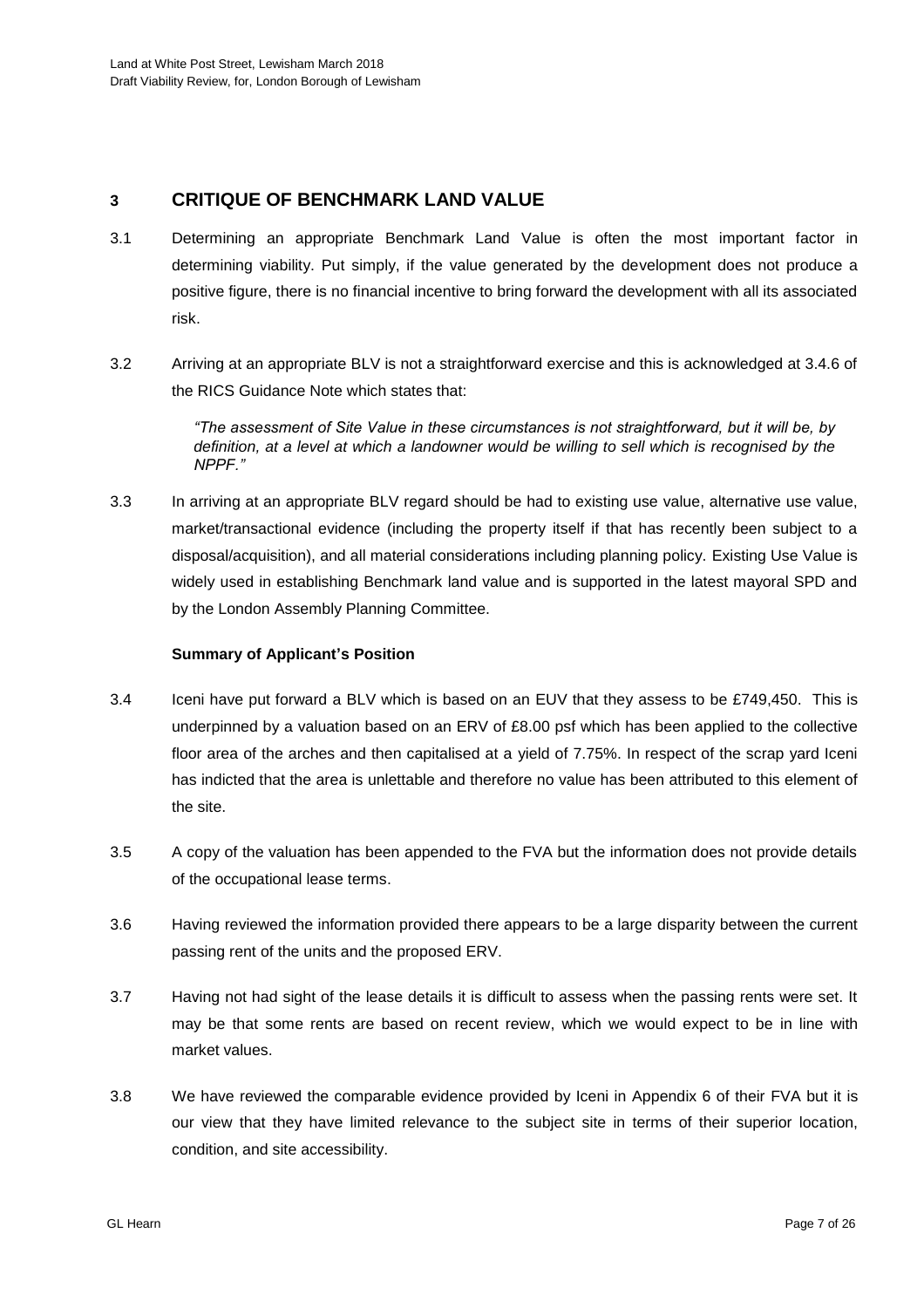## **3 CRITIQUE OF BENCHMARK LAND VALUE**

- 3.1 Determining an appropriate Benchmark Land Value is often the most important factor in determining viability. Put simply, if the value generated by the development does not produce a positive figure, there is no financial incentive to bring forward the development with all its associated risk.
- 3.2 Arriving at an appropriate BLV is not a straightforward exercise and this is acknowledged at 3.4.6 of the RICS Guidance Note which states that:

*"The assessment of Site Value in these circumstances is not straightforward, but it will be, by*  definition, at a level at which a landowner would be willing to sell which is recognised by the *NPPF."*

3.3 In arriving at an appropriate BLV regard should be had to existing use value, alternative use value, market/transactional evidence (including the property itself if that has recently been subject to a disposal/acquisition), and all material considerations including planning policy. Existing Use Value is widely used in establishing Benchmark land value and is supported in the latest mayoral SPD and by the London Assembly Planning Committee.

#### **Summary of Applicant's Position**

- 3.4 Iceni have put forward a BLV which is based on an EUV that they assess to be £749,450. This is underpinned by a valuation based on an ERV of £8.00 psf which has been applied to the collective floor area of the arches and then capitalised at a yield of 7.75%. In respect of the scrap yard Iceni has indicted that the area is unlettable and therefore no value has been attributed to this element of the site.
- 3.5 A copy of the valuation has been appended to the FVA but the information does not provide details of the occupational lease terms.
- 3.6 Having reviewed the information provided there appears to be a large disparity between the current passing rent of the units and the proposed ERV.
- 3.7 Having not had sight of the lease details it is difficult to assess when the passing rents were set. It may be that some rents are based on recent review, which we would expect to be in line with market values.
- 3.8 We have reviewed the comparable evidence provided by Iceni in Appendix 6 of their FVA but it is our view that they have limited relevance to the subject site in terms of their superior location, condition, and site accessibility.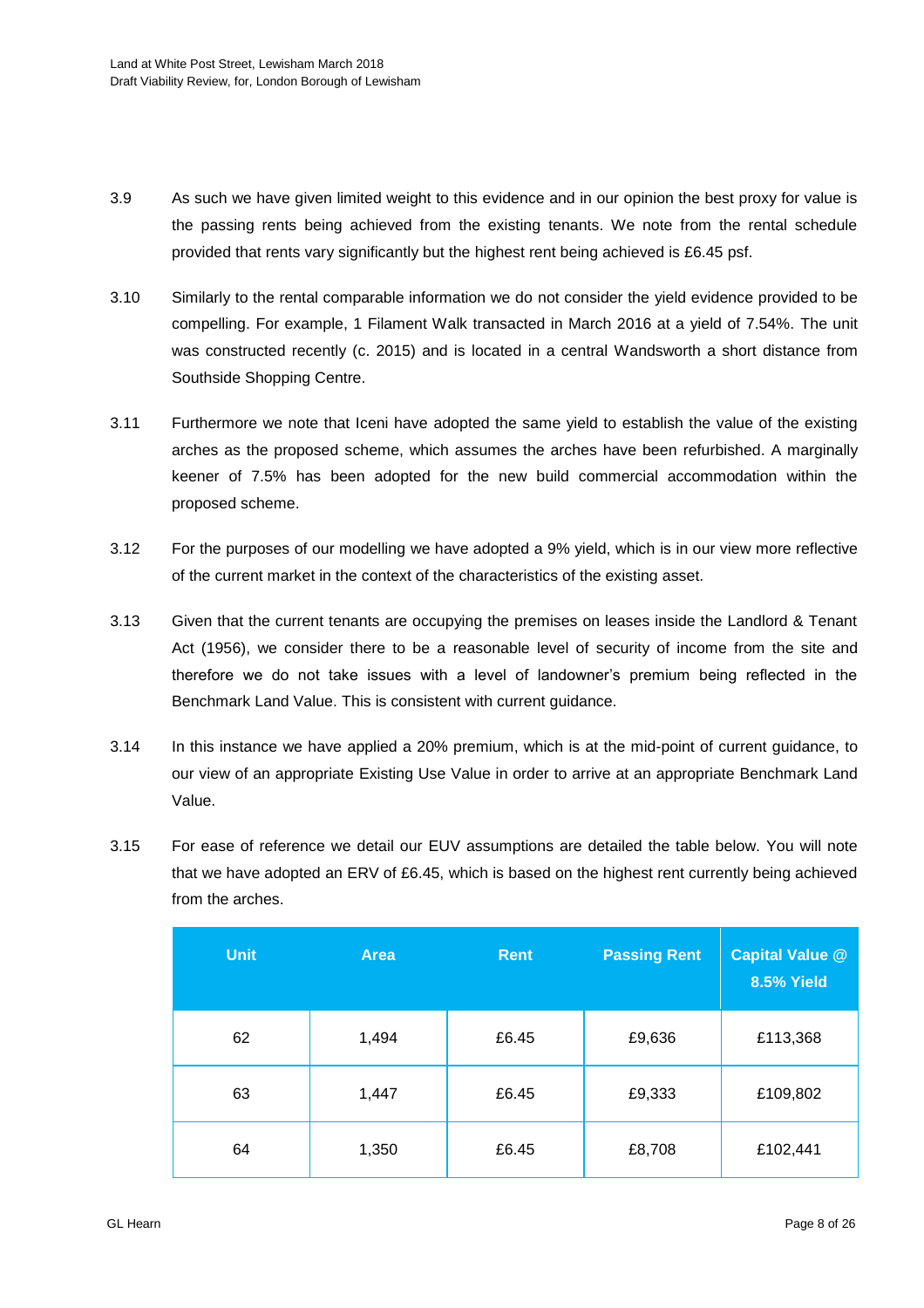- 3.9 As such we have given limited weight to this evidence and in our opinion the best proxy for value is the passing rents being achieved from the existing tenants. We note from the rental schedule provided that rents vary significantly but the highest rent being achieved is £6.45 psf.
- 3.10 Similarly to the rental comparable information we do not consider the yield evidence provided to be compelling. For example, 1 Filament Walk transacted in March 2016 at a yield of 7.54%. The unit was constructed recently (c. 2015) and is located in a central Wandsworth a short distance from Southside Shopping Centre.
- 3.11 Furthermore we note that Iceni have adopted the same yield to establish the value of the existing arches as the proposed scheme, which assumes the arches have been refurbished. A marginally keener of 7.5% has been adopted for the new build commercial accommodation within the proposed scheme.
- 3.12 For the purposes of our modelling we have adopted a 9% yield, which is in our view more reflective of the current market in the context of the characteristics of the existing asset.
- 3.13 Given that the current tenants are occupying the premises on leases inside the Landlord & Tenant Act (1956), we consider there to be a reasonable level of security of income from the site and therefore we do not take issues with a level of landowner's premium being reflected in the Benchmark Land Value. This is consistent with current guidance.
- 3.14 In this instance we have applied a 20% premium, which is at the mid-point of current guidance, to our view of an appropriate Existing Use Value in order to arrive at an appropriate Benchmark Land Value.
- 3.15 For ease of reference we detail our EUV assumptions are detailed the table below. You will note that we have adopted an ERV of £6.45, which is based on the highest rent currently being achieved from the arches.

| <b>Unit</b> | <b>Area</b> | <b>Rent</b> | <b>Passing Rent</b> | <b>Capital Value @</b><br><b>8.5% Yield</b> |
|-------------|-------------|-------------|---------------------|---------------------------------------------|
| 62          | 1,494       | £6.45       | £9,636              | £113,368                                    |
| 63          | 1,447       | £6.45       | £9,333              | £109,802                                    |
| 64          | 1,350       | £6.45       | £8,708              | £102,441                                    |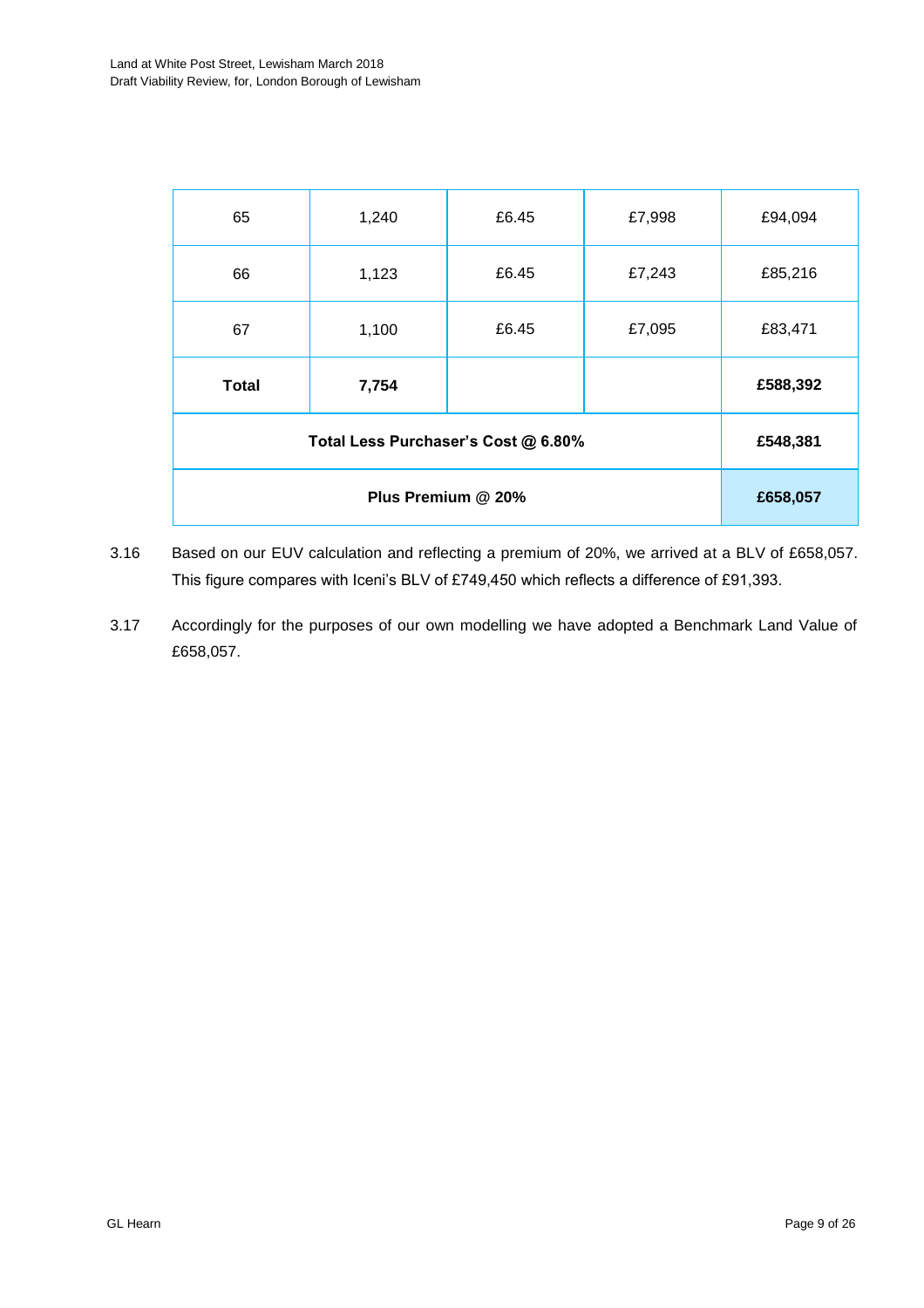| 65                                  | 1,240    | £6.45 | £7,998 | £94,094  |
|-------------------------------------|----------|-------|--------|----------|
| 66                                  | 1,123    | £6.45 | £7,243 | £85,216  |
| 67                                  | 1,100    | £6.45 | £7,095 | £83,471  |
| <b>Total</b>                        | 7,754    |       |        | £588,392 |
| Total Less Purchaser's Cost @ 6.80% | £548,381 |       |        |          |
|                                     | £658,057 |       |        |          |

- 3.16 Based on our EUV calculation and reflecting a premium of 20%, we arrived at a BLV of £658,057. This figure compares with Iceni's BLV of £749,450 which reflects a difference of £91,393.
- 3.17 Accordingly for the purposes of our own modelling we have adopted a Benchmark Land Value of £658,057.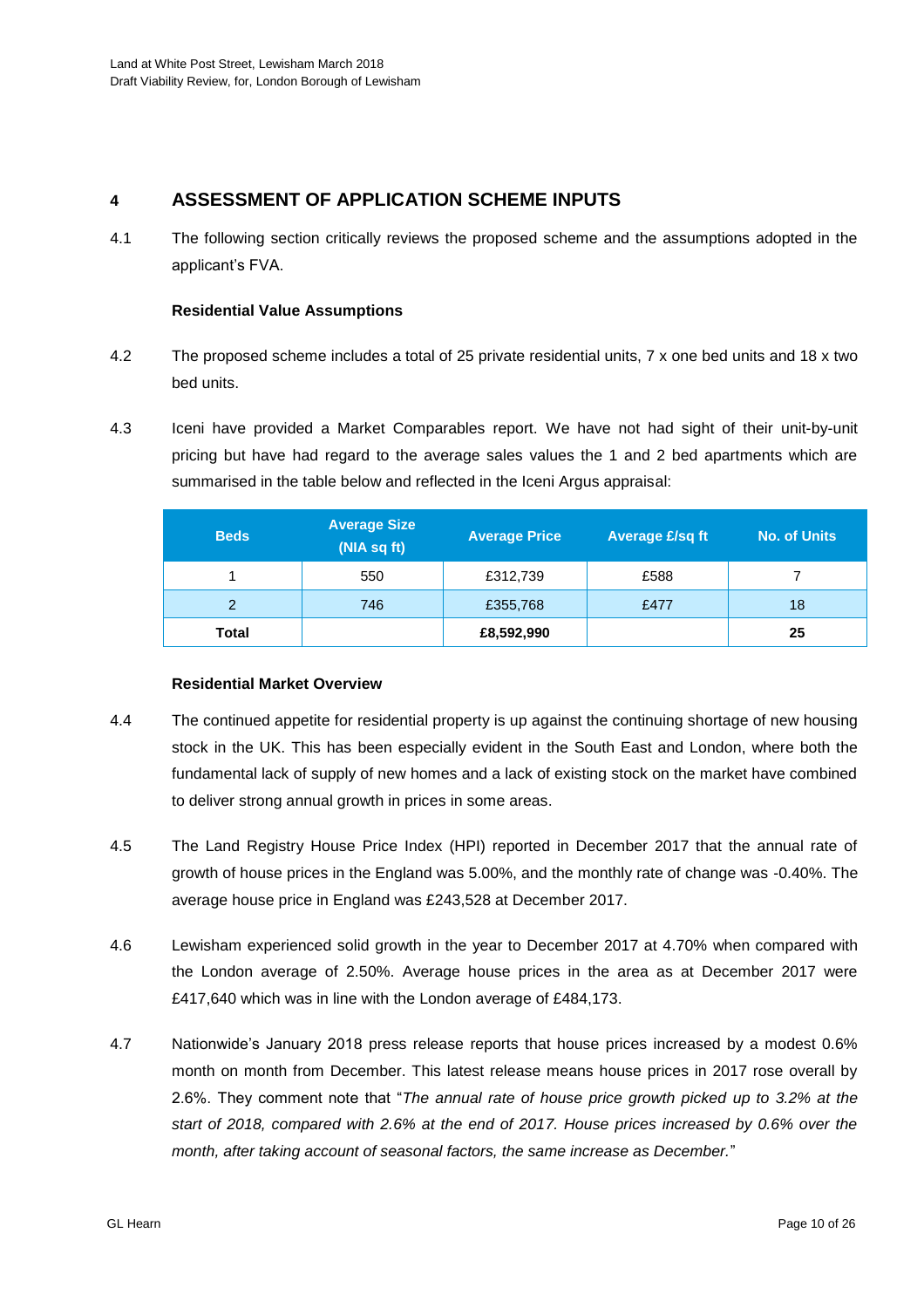# **4 ASSESSMENT OF APPLICATION SCHEME INPUTS**

4.1 The following section critically reviews the proposed scheme and the assumptions adopted in the applicant's FVA.

#### **Residential Value Assumptions**

- 4.2 The proposed scheme includes a total of 25 private residential units, 7 x one bed units and 18 x two bed units.
- 4.3 Iceni have provided a Market Comparables report. We have not had sight of their unit-by-unit pricing but have had regard to the average sales values the 1 and 2 bed apartments which are summarised in the table below and reflected in the Iceni Argus appraisal:

| <b>Beds</b>   | <b>Average Size</b><br>(NIA sq ft) | <b>Average Price</b> | <b>Average £/sq ft</b> | <b>No. of Units</b> |
|---------------|------------------------------------|----------------------|------------------------|---------------------|
|               | 550                                | £312,739             | £588                   |                     |
| $\mathcal{P}$ | 746                                | £355,768             | £477                   | 18                  |
| Total         |                                    | £8,592,990           |                        | 25                  |

#### **Residential Market Overview**

- 4.4 The continued appetite for residential property is up against the continuing shortage of new housing stock in the UK. This has been especially evident in the South East and London, where both the fundamental lack of supply of new homes and a lack of existing stock on the market have combined to deliver strong annual growth in prices in some areas.
- 4.5 The Land Registry House Price Index (HPI) reported in December 2017 that the annual rate of growth of house prices in the England was 5.00%, and the monthly rate of change was -0.40%. The average house price in England was £243,528 at December 2017.
- 4.6 Lewisham experienced solid growth in the year to December 2017 at 4.70% when compared with the London average of 2.50%. Average house prices in the area as at December 2017 were £417,640 which was in line with the London average of £484,173.
- 4.7 Nationwide's January 2018 press release reports that house prices increased by a modest 0.6% month on month from December. This latest release means house prices in 2017 rose overall by 2.6%. They comment note that "*The annual rate of house price growth picked up to 3.2% at the start of 2018, compared with 2.6% at the end of 2017. House prices increased by 0.6% over the month, after taking account of seasonal factors, the same increase as December.*"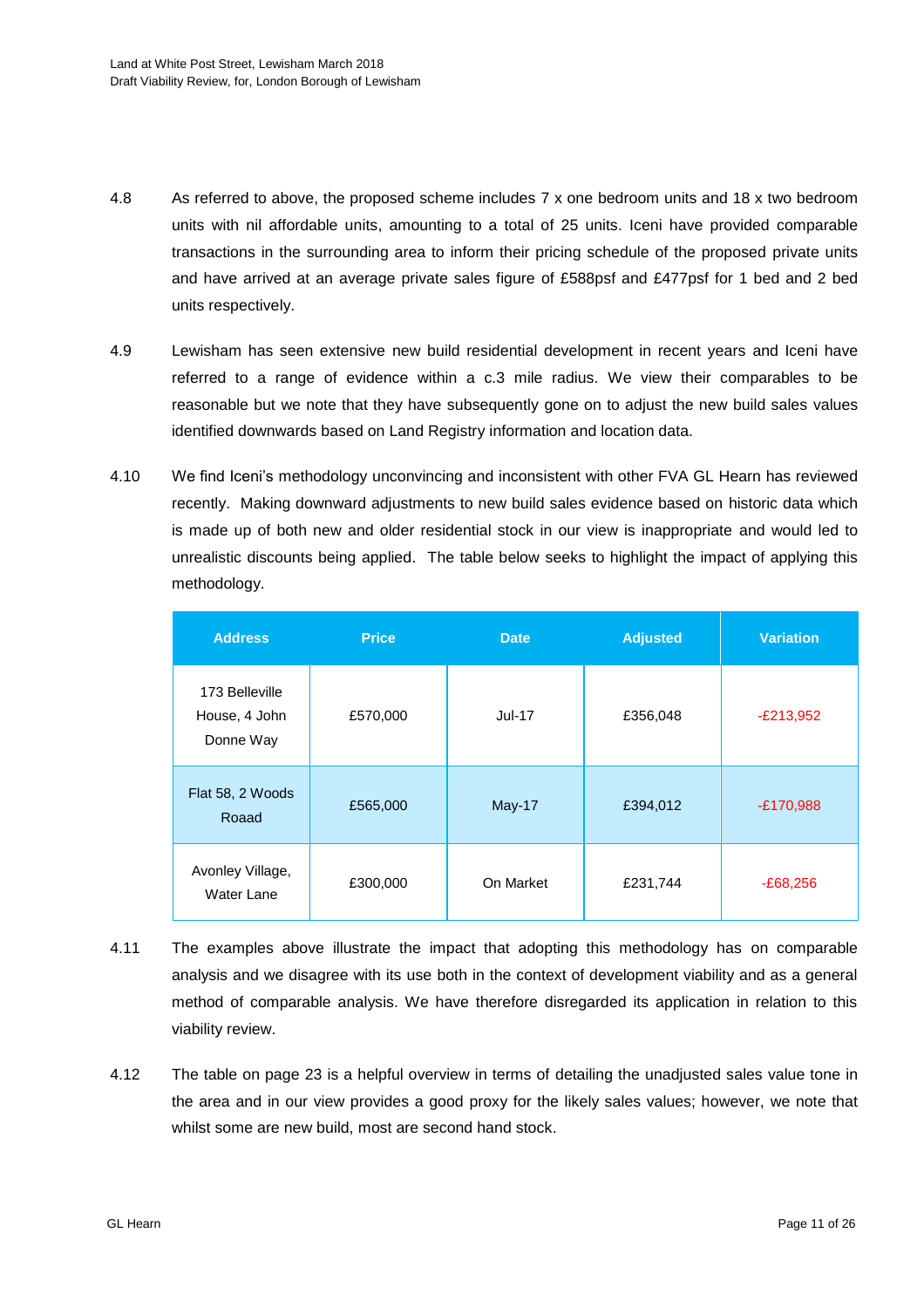- 4.8 As referred to above, the proposed scheme includes 7 x one bedroom units and 18 x two bedroom units with nil affordable units, amounting to a total of 25 units. Iceni have provided comparable transactions in the surrounding area to inform their pricing schedule of the proposed private units and have arrived at an average private sales figure of £588psf and £477psf for 1 bed and 2 bed units respectively.
- 4.9 Lewisham has seen extensive new build residential development in recent years and Iceni have referred to a range of evidence within a c.3 mile radius. We view their comparables to be reasonable but we note that they have subsequently gone on to adjust the new build sales values identified downwards based on Land Registry information and location data.
- 4.10 We find Iceni's methodology unconvincing and inconsistent with other FVA GL Hearn has reviewed recently. Making downward adjustments to new build sales evidence based on historic data which is made up of both new and older residential stock in our view is inappropriate and would led to unrealistic discounts being applied. The table below seeks to highlight the impact of applying this methodology.

| <b>Address</b>                               | <b>Price</b> | <b>Date</b>   | <b>Adjusted</b> | <b>Variation</b> |
|----------------------------------------------|--------------|---------------|-----------------|------------------|
| 173 Belleville<br>House, 4 John<br>Donne Way | £570,000     | <b>Jul-17</b> | £356,048        | $-E213,952$      |
| Flat 58, 2 Woods<br>Roaad                    | £565,000     | $May-17$      | £394,012        | $-E170,988$      |
| Avonley Village,<br>Water Lane               | £300,000     | On Market     | £231,744        | $-E68,256$       |

- 4.11 The examples above illustrate the impact that adopting this methodology has on comparable analysis and we disagree with its use both in the context of development viability and as a general method of comparable analysis. We have therefore disregarded its application in relation to this viability review.
- 4.12 The table on page 23 is a helpful overview in terms of detailing the unadjusted sales value tone in the area and in our view provides a good proxy for the likely sales values; however, we note that whilst some are new build, most are second hand stock.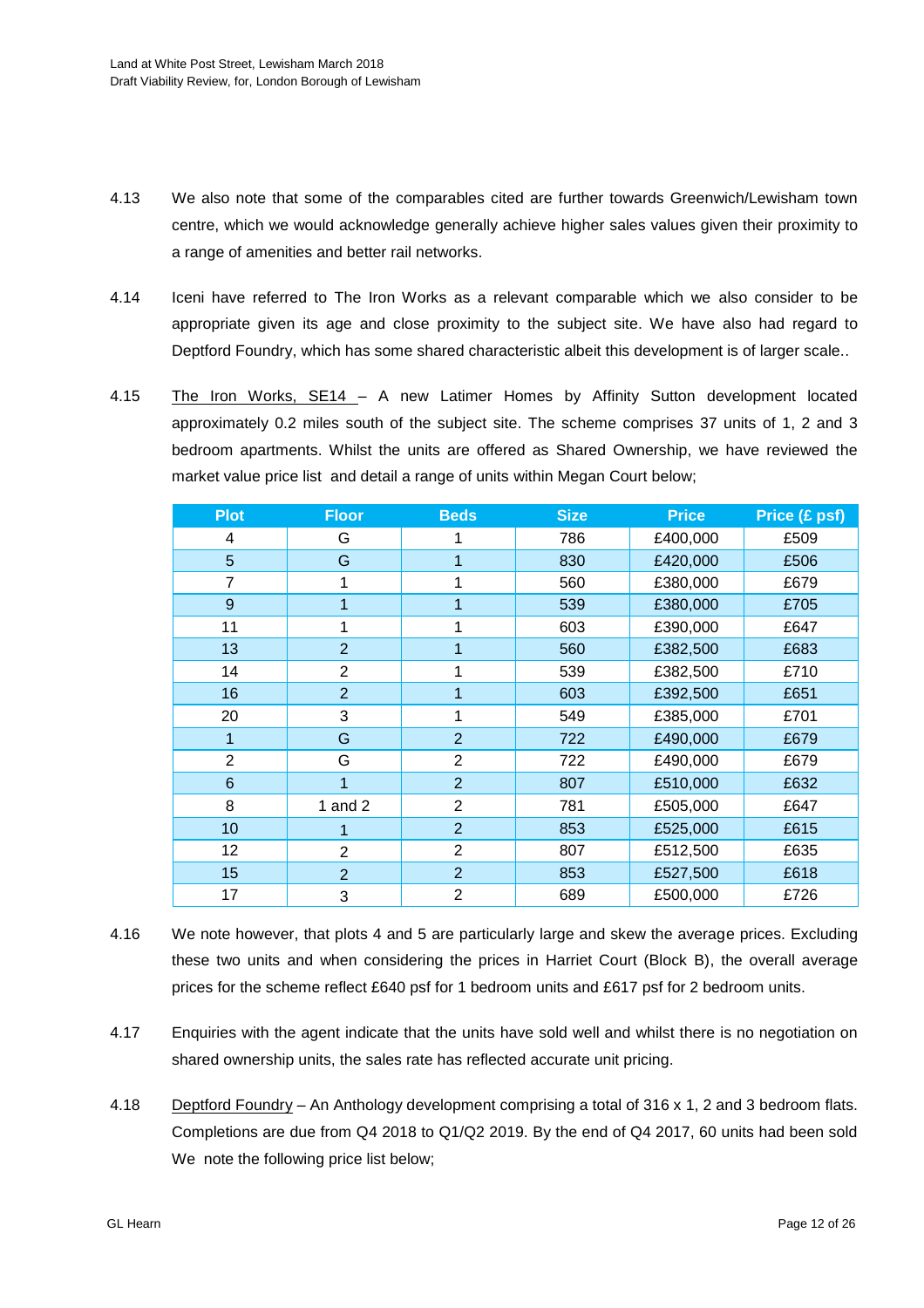- 4.13 We also note that some of the comparables cited are further towards Greenwich/Lewisham town centre, which we would acknowledge generally achieve higher sales values given their proximity to a range of amenities and better rail networks.
- 4.14 Iceni have referred to The Iron Works as a relevant comparable which we also consider to be appropriate given its age and close proximity to the subject site. We have also had regard to Deptford Foundry, which has some shared characteristic albeit this development is of larger scale..
- 4.15 The Iron Works, SE14 A new Latimer Homes by Affinity Sutton development located approximately 0.2 miles south of the subject site. The scheme comprises 37 units of 1, 2 and 3 bedroom apartments. Whilst the units are offered as Shared Ownership, we have reviewed the market value price list and detail a range of units within Megan Court below;

| <b>Plot</b>     | <b>Floor</b>   | <b>Beds</b>    | <b>Size</b> | <b>Price</b> | Price (£ psf) |
|-----------------|----------------|----------------|-------------|--------------|---------------|
| 4               | G              |                | 786         | £400,000     | £509          |
| 5               | G              | 1              | 830         | £420,000     | £506          |
| $\overline{7}$  | 1              | 1              | 560         | £380,000     | £679          |
| 9               | 1              |                | 539         | £380,000     | £705          |
| 11              | 1              | 1              | 603         | £390,000     | £647          |
| 13              | $\overline{2}$ | 1              | 560         | £382,500     | £683          |
| 14              | $\overline{2}$ | 1              | 539         | £382,500     | £710          |
| 16              | $\overline{2}$ | 1              | 603         | £392,500     | £651          |
| 20              | 3              | 1              | 549         | £385,000     | £701          |
| 1               | G              | $\overline{2}$ | 722         | £490,000     | £679          |
| $\overline{2}$  | G              | $\overline{2}$ | 722         | £490,000     | £679          |
| $6\phantom{1}6$ | 1              | $\overline{2}$ | 807         | £510,000     | £632          |
| 8               | 1 and $2$      | $\overline{2}$ | 781         | £505,000     | £647          |
| 10              | 1              | $\overline{2}$ | 853         | £525,000     | £615          |
| 12              | $\overline{2}$ | $\overline{2}$ | 807         | £512,500     | £635          |
| 15              | $\overline{2}$ | $\overline{2}$ | 853         | £527,500     | £618          |
| 17              | 3              | $\overline{2}$ | 689         | £500,000     | £726          |

- 4.16 We note however, that plots 4 and 5 are particularly large and skew the average prices. Excluding these two units and when considering the prices in Harriet Court (Block B), the overall average prices for the scheme reflect £640 psf for 1 bedroom units and £617 psf for 2 bedroom units.
- 4.17 Enquiries with the agent indicate that the units have sold well and whilst there is no negotiation on shared ownership units, the sales rate has reflected accurate unit pricing.
- 4.18 Deptford Foundry An Anthology development comprising a total of 316 x 1, 2 and 3 bedroom flats. Completions are due from Q4 2018 to Q1/Q2 2019. By the end of Q4 2017, 60 units had been sold We note the following price list below;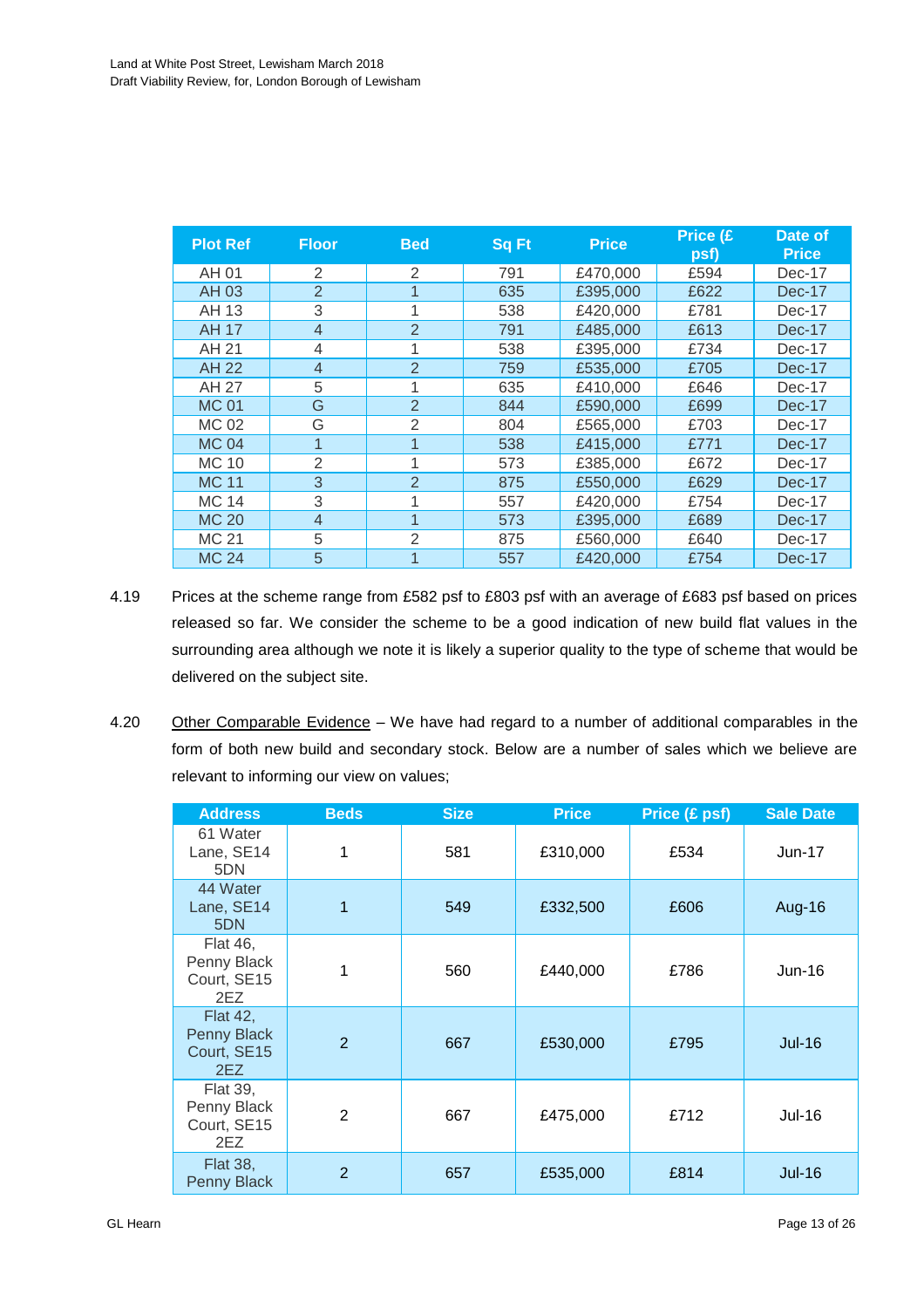| <b>Plot Ref</b> | <b>Floor</b>   | <b>Bed</b>     | <b>Sq Ft</b> | <b>Price</b> | Price (£<br>psf) | Date of<br><b>Price</b> |
|-----------------|----------------|----------------|--------------|--------------|------------------|-------------------------|
| AH 01           | 2              | 2              | 791          | £470,000     | £594             | $Dec-17$                |
| AH 03           | $\overline{2}$ | 1              | 635          | £395,000     | £622             | $Dec-17$                |
| AH 13           | 3              | 1              | 538          | £420,000     | £781             | Dec-17                  |
| <b>AH 17</b>    | $\overline{4}$ | $\overline{2}$ | 791          | £485,000     | £613             | $Dec-17$                |
| AH 21           | 4              | 1              | 538          | £395,000     | £734             | Dec-17                  |
| AH 22           | 4              | $\overline{2}$ | 759          | £535,000     | £705             | $Dec-17$                |
| AH 27           | 5              | 1              | 635          | £410,000     | £646             | Dec-17                  |
| <b>MC 01</b>    | G              | $\overline{2}$ | 844          | £590,000     | £699             | $Dec-17$                |
| <b>MC 02</b>    | G              | $\overline{2}$ | 804          | £565,000     | £703             | Dec-17                  |
| <b>MC 04</b>    | 1              | 1              | 538          | £415,000     | £771             | $Dec-17$                |
| <b>MC 10</b>    | $\overline{2}$ | 1              | 573          | £385,000     | £672             | $Dec-17$                |
| <b>MC 11</b>    | 3              | $\overline{2}$ | 875          | £550,000     | £629             | $Dec-17$                |
| <b>MC 14</b>    | 3              | 1              | 557          | £420,000     | £754             | Dec-17                  |
| <b>MC 20</b>    | 4              | 1              | 573          | £395,000     | £689             | Dec-17                  |
| MC 21           | 5              | $\overline{2}$ | 875          | £560,000     | £640             | Dec-17                  |
| <b>MC 24</b>    | 5              | 1              | 557          | £420,000     | £754             | $Dec-17$                |

- 4.19 Prices at the scheme range from £582 psf to £803 psf with an average of £683 psf based on prices released so far. We consider the scheme to be a good indication of new build flat values in the surrounding area although we note it is likely a superior quality to the type of scheme that would be delivered on the subject site.
- 4.20 Other Comparable Evidence We have had regard to a number of additional comparables in the form of both new build and secondary stock. Below are a number of sales which we believe are relevant to informing our view on values;

| <b>Address</b>                                       | <b>Beds</b>    | <b>Size</b> | <b>Price</b> | Price (£ psf) | <b>Sale Date</b> |
|------------------------------------------------------|----------------|-------------|--------------|---------------|------------------|
| 61 Water<br>Lane, SE14<br>5DN                        | 1              | 581         | £310,000     | £534          | $Jun-17$         |
| 44 Water<br>Lane, SE14<br>5DN                        | 1              | 549         | £332,500     | £606          | Aug-16           |
| <b>Flat 46,</b><br>Penny Black<br>Court, SE15<br>2EZ | 1              | 560         | £440,000     | £786          | $Jun-16$         |
| <b>Flat 42,</b><br>Penny Black<br>Court, SE15<br>2EZ | $\overline{2}$ | 667         | £530,000     | £795          | $Jul-16$         |
| <b>Flat 39,</b><br>Penny Black<br>Court, SE15<br>2EZ | $\overline{2}$ | 667         | £475,000     | £712          | <b>Jul-16</b>    |
| <b>Flat 38,</b><br>Penny Black                       | $\overline{2}$ | 657         | £535,000     | £814          | <b>Jul-16</b>    |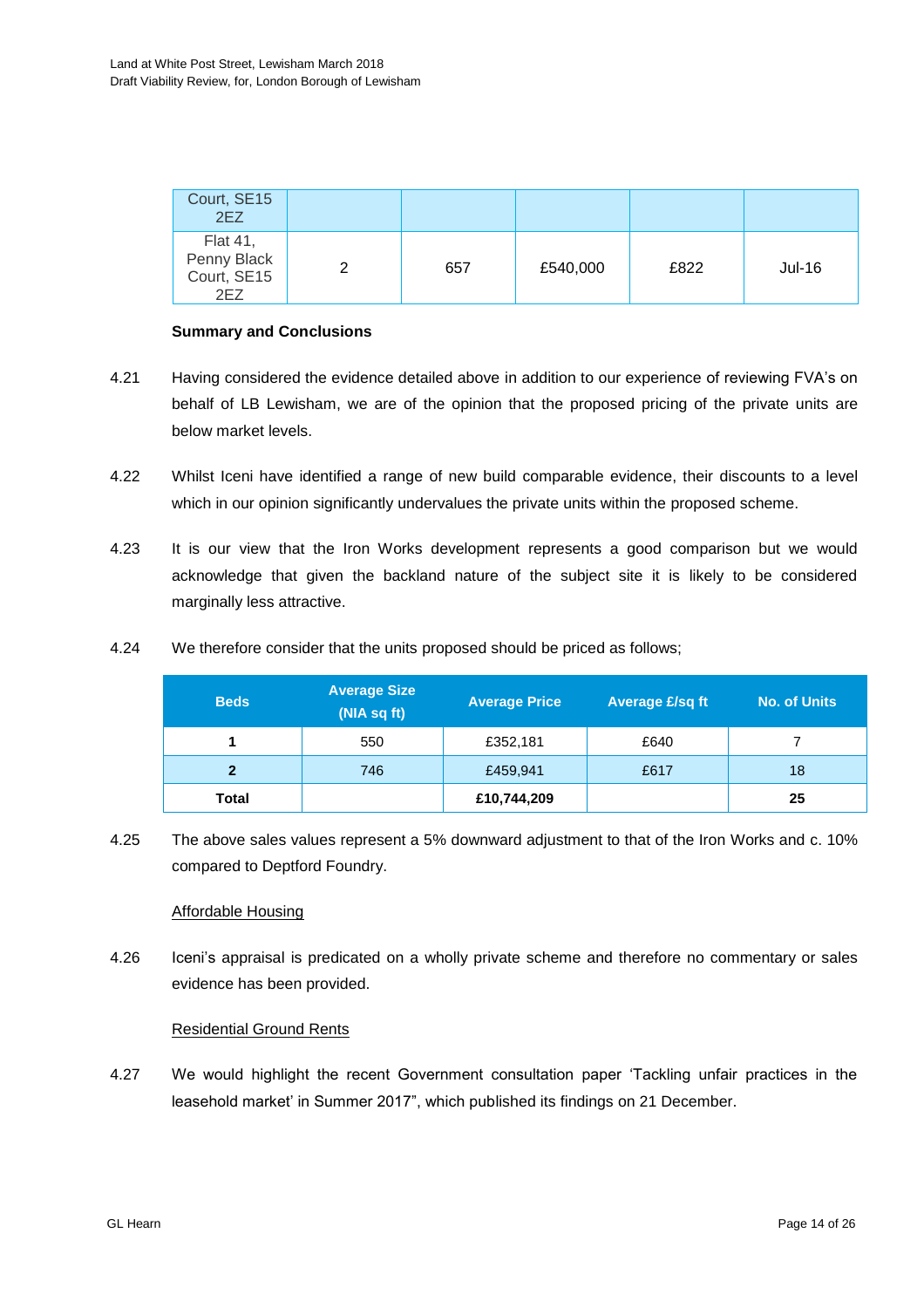| Court, SE15<br>2EZ                            |     |          |      |               |
|-----------------------------------------------|-----|----------|------|---------------|
| Flat 41,<br>Penny Black<br>Court, SE15<br>2EZ | 657 | £540,000 | £822 | <b>Jul-16</b> |

#### **Summary and Conclusions**

- 4.21 Having considered the evidence detailed above in addition to our experience of reviewing FVA's on behalf of LB Lewisham, we are of the opinion that the proposed pricing of the private units are below market levels.
- 4.22 Whilst Iceni have identified a range of new build comparable evidence, their discounts to a level which in our opinion significantly undervalues the private units within the proposed scheme.
- 4.23 It is our view that the Iron Works development represents a good comparison but we would acknowledge that given the backland nature of the subject site it is likely to be considered marginally less attractive.
- 4.24 We therefore consider that the units proposed should be priced as follows;

| <b>Beds</b>  | <b>Average Size</b><br>(NIA sq ft) | <b>Average Price</b> | Average £/sq ft | <b>No. of Units</b> |
|--------------|------------------------------------|----------------------|-----------------|---------------------|
|              | 550                                | £352,181             | £640            |                     |
| $\mathbf{2}$ | 746                                | £459,941             | £617            | 18                  |
| Total        |                                    | £10,744,209          |                 | 25                  |

4.25 The above sales values represent a 5% downward adjustment to that of the Iron Works and c. 10% compared to Deptford Foundry.

#### Affordable Housing

4.26 Iceni's appraisal is predicated on a wholly private scheme and therefore no commentary or sales evidence has been provided.

#### Residential Ground Rents

4.27 We would highlight the recent Government consultation paper 'Tackling unfair practices in the leasehold market' in Summer 2017", which published its findings on 21 December.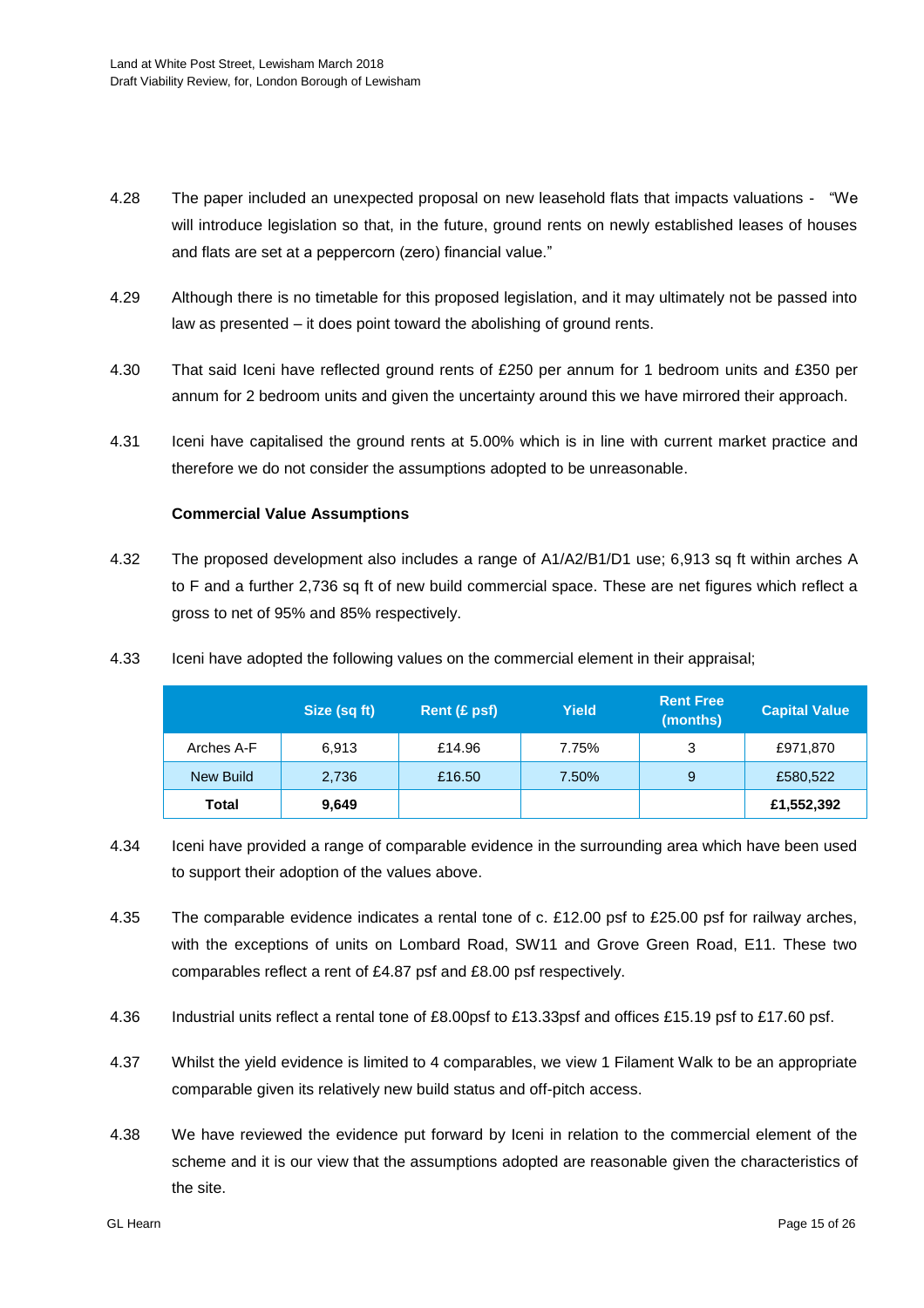- 4.28 The paper included an unexpected proposal on new leasehold flats that impacts valuations "We will introduce legislation so that, in the future, ground rents on newly established leases of houses and flats are set at a peppercorn (zero) financial value."
- 4.29 Although there is no timetable for this proposed legislation, and it may ultimately not be passed into law as presented – it does point toward the abolishing of ground rents.
- 4.30 That said Iceni have reflected ground rents of £250 per annum for 1 bedroom units and £350 per annum for 2 bedroom units and given the uncertainty around this we have mirrored their approach.
- 4.31 Iceni have capitalised the ground rents at 5.00% which is in line with current market practice and therefore we do not consider the assumptions adopted to be unreasonable.

#### **Commercial Value Assumptions**

4.32 The proposed development also includes a range of A1/A2/B1/D1 use; 6,913 sq ft within arches A to F and a further 2,736 sq ft of new build commercial space. These are net figures which reflect a gross to net of 95% and 85% respectively.

|                  | Size (sq ft) | Rent $(E \text{ psf})$ | Yield | <b>Rent Free</b><br>(months) | <b>Capital Value</b> |
|------------------|--------------|------------------------|-------|------------------------------|----------------------|
| Arches A-F       | 6.913        | £14.96                 | 7.75% | 3                            | £971,870             |
| <b>New Build</b> | 2,736        | £16.50                 | 7.50% | 9                            | £580,522             |
| Total            | 9,649        |                        |       |                              | £1,552,392           |

4.33 Iceni have adopted the following values on the commercial element in their appraisal;

- 4.34 Iceni have provided a range of comparable evidence in the surrounding area which have been used to support their adoption of the values above.
- 4.35 The comparable evidence indicates a rental tone of c. £12.00 psf to £25.00 psf for railway arches, with the exceptions of units on Lombard Road, SW11 and Grove Green Road, E11. These two comparables reflect a rent of £4.87 psf and £8.00 psf respectively.
- 4.36 Industrial units reflect a rental tone of £8.00psf to £13.33psf and offices £15.19 psf to £17.60 psf.
- 4.37 Whilst the yield evidence is limited to 4 comparables, we view 1 Filament Walk to be an appropriate comparable given its relatively new build status and off-pitch access.
- 4.38 We have reviewed the evidence put forward by Iceni in relation to the commercial element of the scheme and it is our view that the assumptions adopted are reasonable given the characteristics of the site.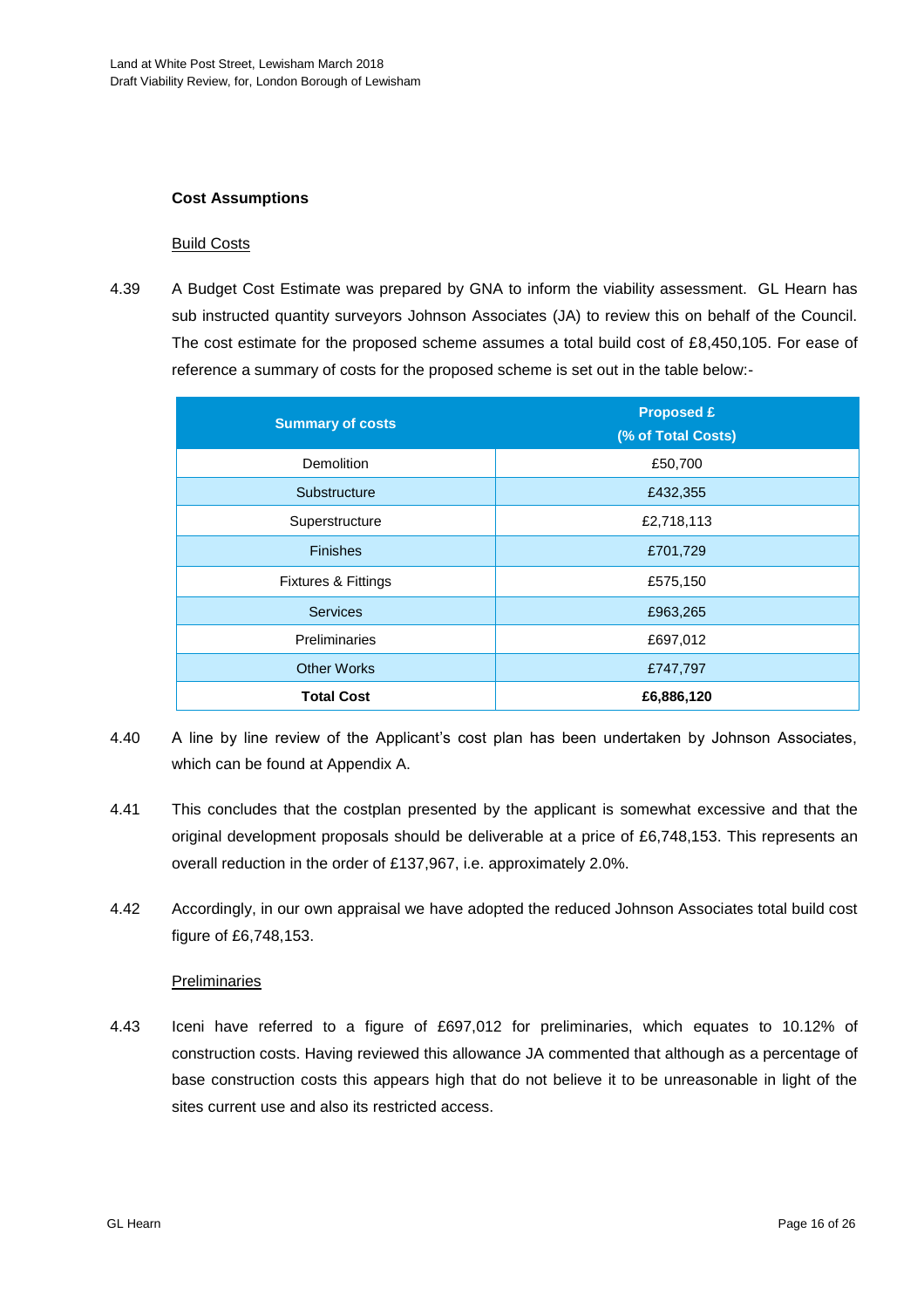#### **Cost Assumptions**

#### Build Costs

4.39 A Budget Cost Estimate was prepared by GNA to inform the viability assessment. GL Hearn has sub instructed quantity surveyors Johnson Associates (JA) to review this on behalf of the Council. The cost estimate for the proposed scheme assumes a total build cost of £8,450,105. For ease of reference a summary of costs for the proposed scheme is set out in the table below:-

| <b>Summary of costs</b>        | <b>Proposed £</b><br>(% of Total Costs) |  |  |
|--------------------------------|-----------------------------------------|--|--|
| <b>Demolition</b>              | £50,700                                 |  |  |
| Substructure                   | £432,355                                |  |  |
| Superstructure                 | £2,718,113                              |  |  |
| <b>Finishes</b>                | £701,729                                |  |  |
| <b>Fixtures &amp; Fittings</b> | £575,150                                |  |  |
| <b>Services</b>                | £963,265                                |  |  |
| Preliminaries                  | £697,012                                |  |  |
| <b>Other Works</b>             | £747,797                                |  |  |
| <b>Total Cost</b>              | £6,886,120                              |  |  |

- 4.40 A line by line review of the Applicant's cost plan has been undertaken by Johnson Associates, which can be found at Appendix A.
- 4.41 This concludes that the costplan presented by the applicant is somewhat excessive and that the original development proposals should be deliverable at a price of £6,748,153. This represents an overall reduction in the order of £137,967, i.e. approximately 2.0%.
- 4.42 Accordingly, in our own appraisal we have adopted the reduced Johnson Associates total build cost figure of £6,748,153.

#### **Preliminaries**

4.43 Iceni have referred to a figure of £697,012 for preliminaries, which equates to 10.12% of construction costs. Having reviewed this allowance JA commented that although as a percentage of base construction costs this appears high that do not believe it to be unreasonable in light of the sites current use and also its restricted access.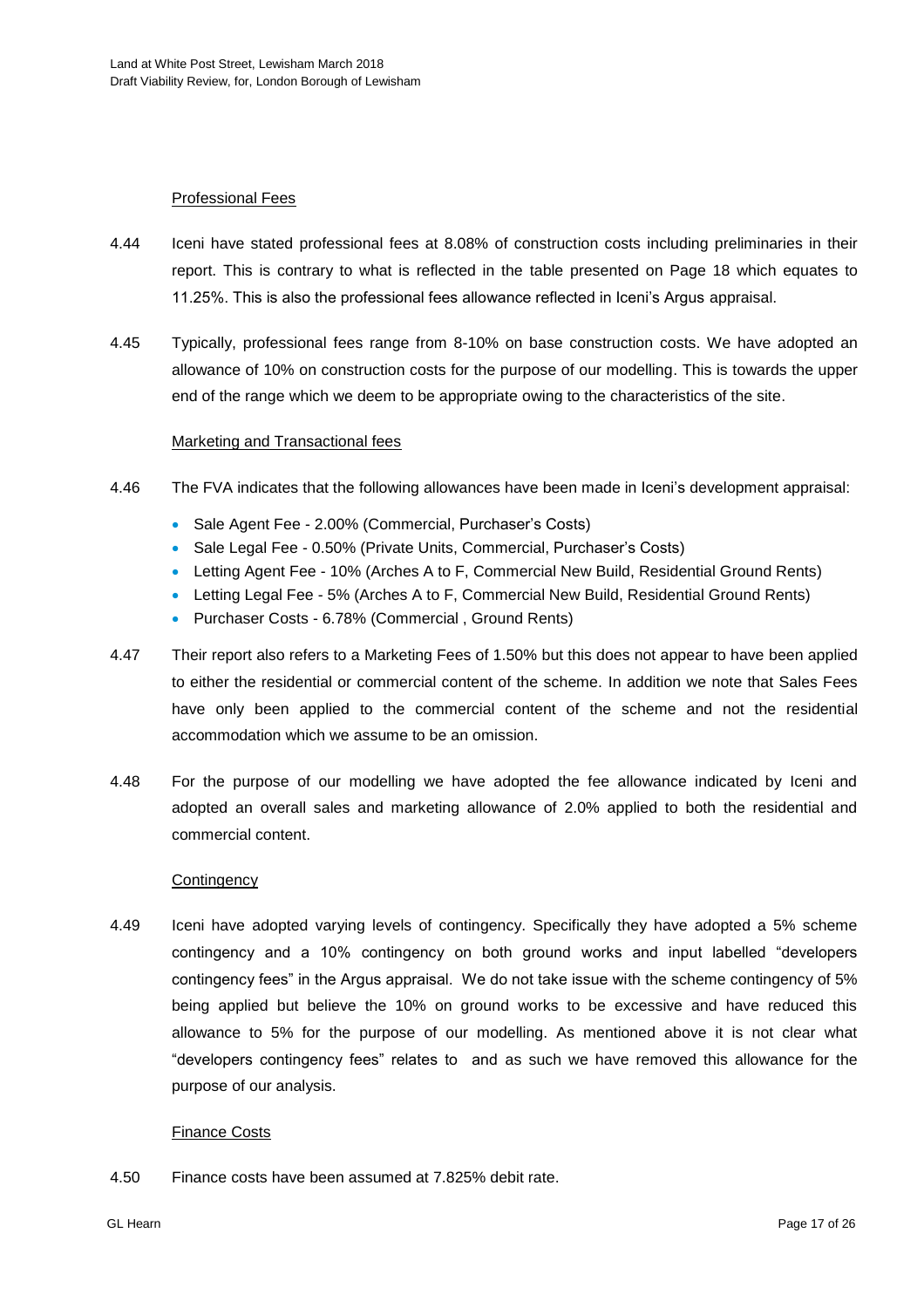#### Professional Fees

- 4.44 Iceni have stated professional fees at 8.08% of construction costs including preliminaries in their report. This is contrary to what is reflected in the table presented on Page 18 which equates to 11.25%. This is also the professional fees allowance reflected in Iceni's Argus appraisal.
- 4.45 Typically, professional fees range from 8-10% on base construction costs. We have adopted an allowance of 10% on construction costs for the purpose of our modelling. This is towards the upper end of the range which we deem to be appropriate owing to the characteristics of the site.

#### Marketing and Transactional fees

- 4.46 The FVA indicates that the following allowances have been made in Iceni's development appraisal:
	- Sale Agent Fee 2.00% (Commercial, Purchaser's Costs)
	- Sale Legal Fee 0.50% (Private Units, Commercial, Purchaser's Costs)
	- Letting Agent Fee 10% (Arches A to F, Commercial New Build, Residential Ground Rents)
	- Letting Legal Fee 5% (Arches A to F, Commercial New Build, Residential Ground Rents)
	- Purchaser Costs 6.78% (Commercial, Ground Rents)
- 4.47 Their report also refers to a Marketing Fees of 1.50% but this does not appear to have been applied to either the residential or commercial content of the scheme. In addition we note that Sales Fees have only been applied to the commercial content of the scheme and not the residential accommodation which we assume to be an omission.
- 4.48 For the purpose of our modelling we have adopted the fee allowance indicated by Iceni and adopted an overall sales and marketing allowance of 2.0% applied to both the residential and commercial content.

#### **Contingency**

4.49 Iceni have adopted varying levels of contingency. Specifically they have adopted a 5% scheme contingency and a 10% contingency on both ground works and input labelled "developers contingency fees" in the Argus appraisal. We do not take issue with the scheme contingency of 5% being applied but believe the 10% on ground works to be excessive and have reduced this allowance to 5% for the purpose of our modelling. As mentioned above it is not clear what "developers contingency fees" relates to and as such we have removed this allowance for the purpose of our analysis.

#### Finance Costs

4.50 Finance costs have been assumed at 7.825% debit rate.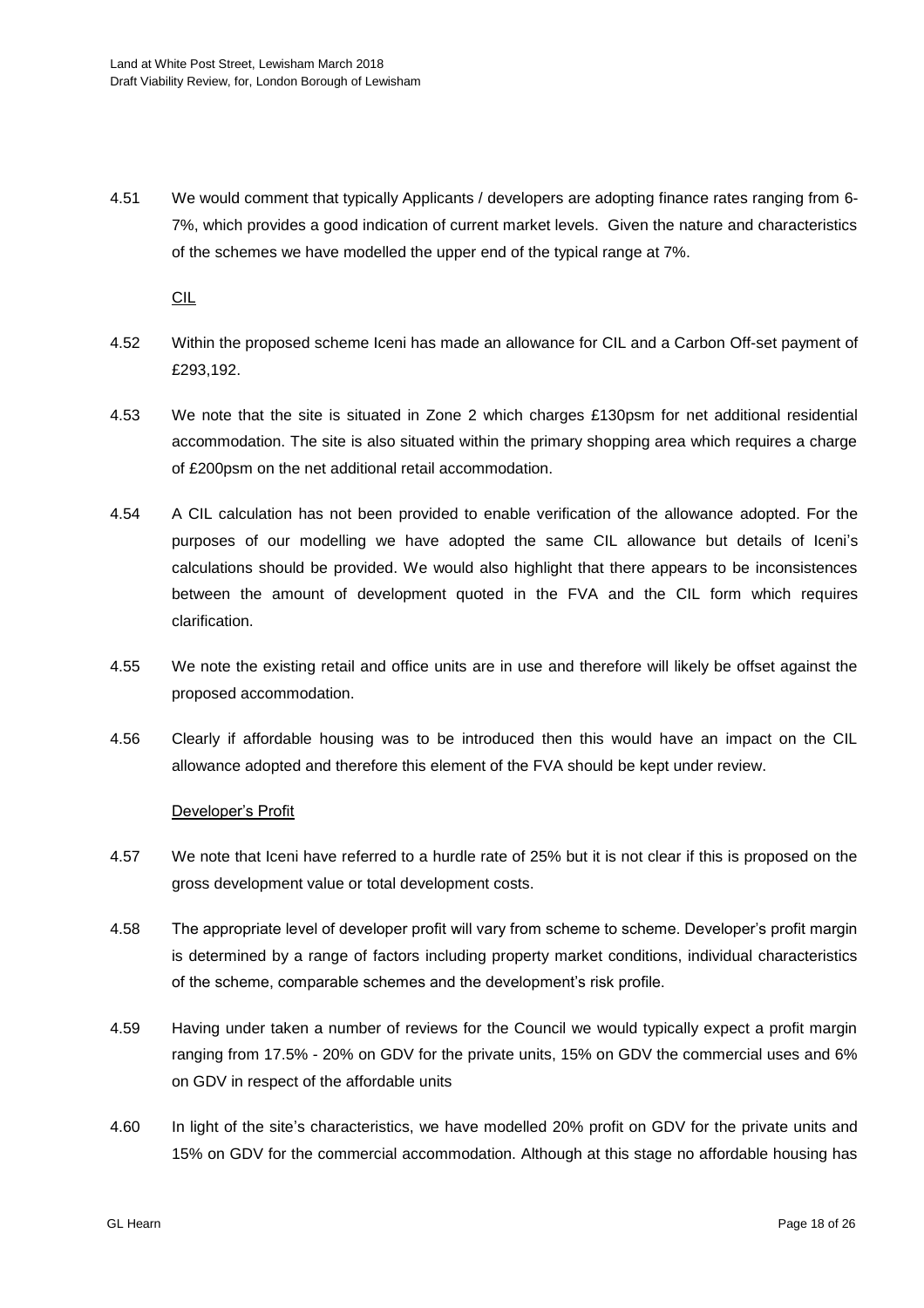4.51 We would comment that typically Applicants / developers are adopting finance rates ranging from 6- 7%, which provides a good indication of current market levels. Given the nature and characteristics of the schemes we have modelled the upper end of the typical range at 7%.

CIL

- 4.52 Within the proposed scheme Iceni has made an allowance for CIL and a Carbon Off-set payment of £293,192.
- 4.53 We note that the site is situated in Zone 2 which charges £130psm for net additional residential accommodation. The site is also situated within the primary shopping area which requires a charge of £200psm on the net additional retail accommodation.
- 4.54 A CIL calculation has not been provided to enable verification of the allowance adopted. For the purposes of our modelling we have adopted the same CIL allowance but details of Iceni's calculations should be provided. We would also highlight that there appears to be inconsistences between the amount of development quoted in the FVA and the CIL form which requires clarification.
- 4.55 We note the existing retail and office units are in use and therefore will likely be offset against the proposed accommodation.
- 4.56 Clearly if affordable housing was to be introduced then this would have an impact on the CIL allowance adopted and therefore this element of the FVA should be kept under review.

#### Developer's Profit

- 4.57 We note that Iceni have referred to a hurdle rate of 25% but it is not clear if this is proposed on the gross development value or total development costs.
- 4.58 The appropriate level of developer profit will vary from scheme to scheme. Developer's profit margin is determined by a range of factors including property market conditions, individual characteristics of the scheme, comparable schemes and the development's risk profile.
- 4.59 Having under taken a number of reviews for the Council we would typically expect a profit margin ranging from 17.5% - 20% on GDV for the private units, 15% on GDV the commercial uses and 6% on GDV in respect of the affordable units
- 4.60 In light of the site's characteristics, we have modelled 20% profit on GDV for the private units and 15% on GDV for the commercial accommodation. Although at this stage no affordable housing has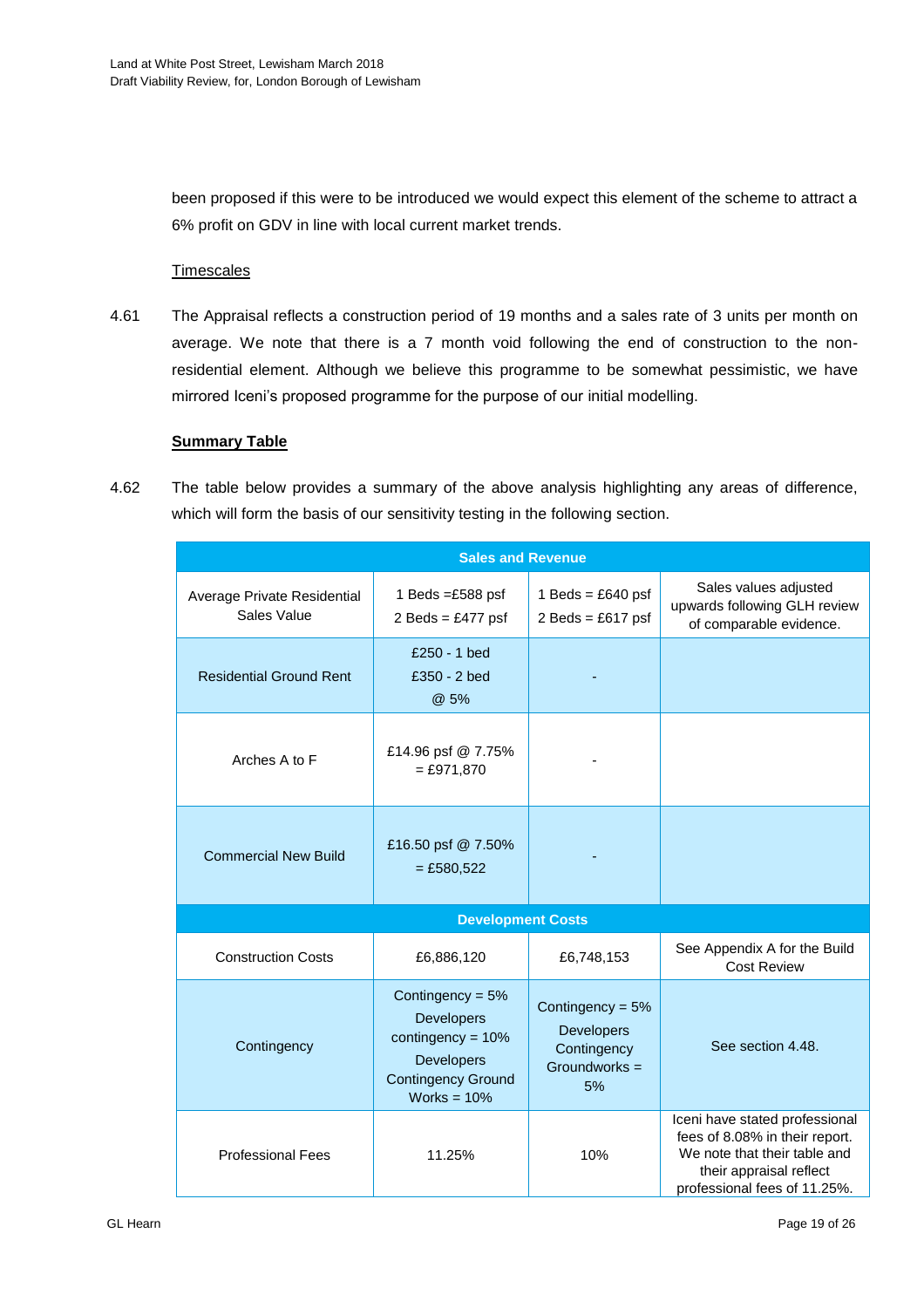been proposed if this were to be introduced we would expect this element of the scheme to attract a 6% profit on GDV in line with local current market trends.

#### **Timescales**

4.61 The Appraisal reflects a construction period of 19 months and a sales rate of 3 units per month on average. We note that there is a 7 month void following the end of construction to the nonresidential element. Although we believe this programme to be somewhat pessimistic, we have mirrored Iceni's proposed programme for the purpose of our initial modelling.

#### **Summary Table**

4.62 The table below provides a summary of the above analysis highlighting any areas of difference, which will form the basis of our sensitivity testing in the following section.

| <b>Sales and Revenue</b>                   |                                                                                                                                    |                                                                                 |                                                                                                                                                             |  |  |  |  |
|--------------------------------------------|------------------------------------------------------------------------------------------------------------------------------------|---------------------------------------------------------------------------------|-------------------------------------------------------------------------------------------------------------------------------------------------------------|--|--|--|--|
| Average Private Residential<br>Sales Value | 1 Beds =£588 psf<br>$2$ Beds = £477 psf                                                                                            | 1 Beds = $£640$ psf<br>$2$ Beds = £617 psf                                      | Sales values adjusted<br>upwards following GLH review<br>of comparable evidence.                                                                            |  |  |  |  |
| <b>Residential Ground Rent</b>             | £250 - 1 bed<br>£350 - 2 bed<br>@ 5%                                                                                               |                                                                                 |                                                                                                                                                             |  |  |  |  |
| Arches A to F                              | £14.96 psf @ 7.75%<br>$= £971,870$                                                                                                 |                                                                                 |                                                                                                                                                             |  |  |  |  |
| <b>Commercial New Build</b>                | £16.50 psf @ 7.50%<br>$= £580,522$                                                                                                 |                                                                                 |                                                                                                                                                             |  |  |  |  |
| <b>Development Costs</b>                   |                                                                                                                                    |                                                                                 |                                                                                                                                                             |  |  |  |  |
| <b>Construction Costs</b>                  | £6,886,120                                                                                                                         | £6,748,153                                                                      | See Appendix A for the Build<br><b>Cost Review</b>                                                                                                          |  |  |  |  |
| Contingency                                | Contingency = $5%$<br><b>Developers</b><br>contingency = $10\%$<br><b>Developers</b><br><b>Contingency Ground</b><br>Works = $10%$ | Contingency = $5%$<br><b>Developers</b><br>Contingency<br>$Groundworks =$<br>5% | See section 4.48.                                                                                                                                           |  |  |  |  |
| <b>Professional Fees</b>                   | 11.25%                                                                                                                             | 10%                                                                             | Iceni have stated professional<br>fees of 8.08% in their report.<br>We note that their table and<br>their appraisal reflect<br>professional fees of 11.25%. |  |  |  |  |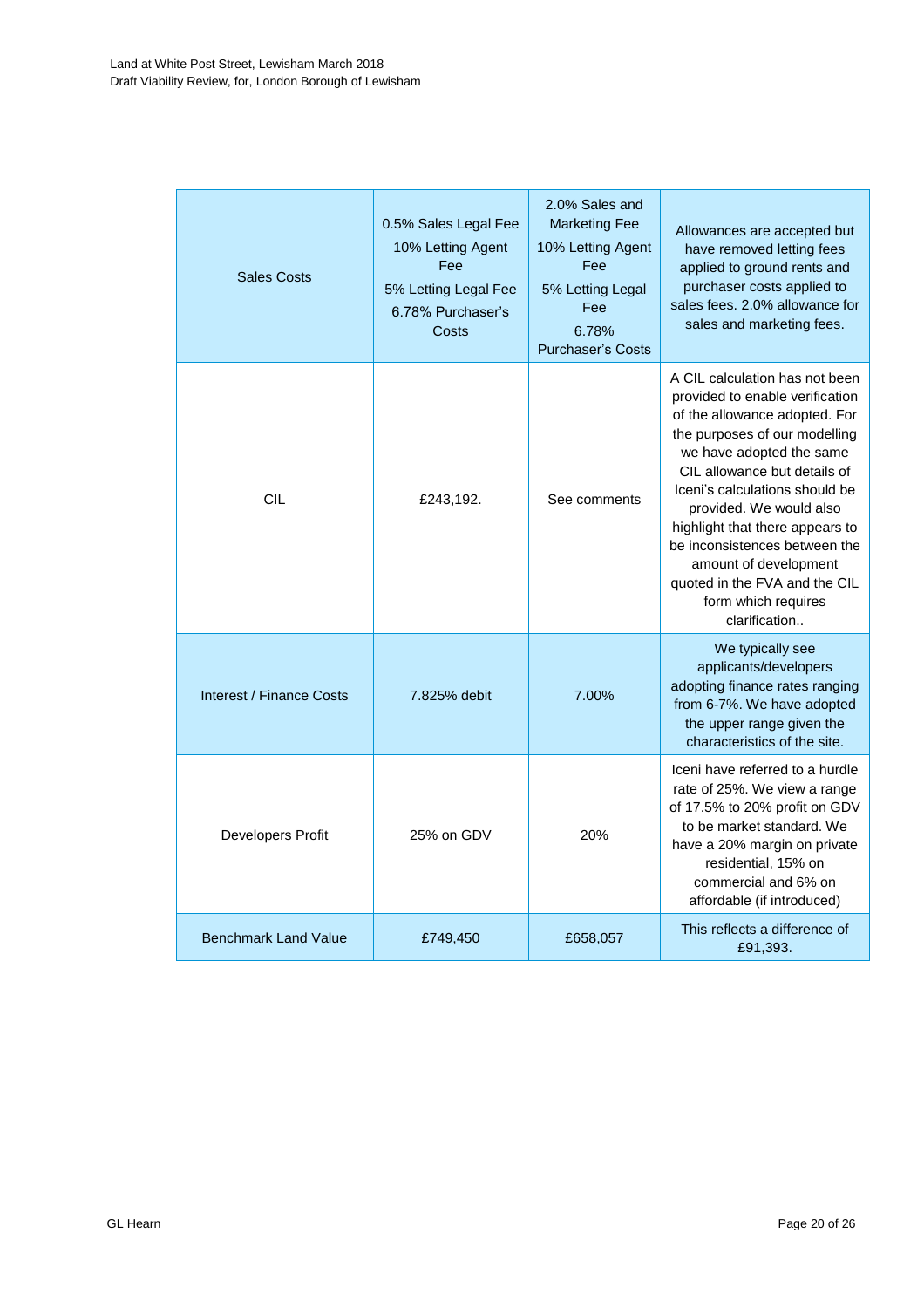| <b>Sales Costs</b>          | 0.5% Sales Legal Fee<br>10% Letting Agent<br>Fee<br>5% Letting Legal Fee<br>6.78% Purchaser's<br>Costs | 2.0% Sales and<br><b>Marketing Fee</b><br>10% Letting Agent<br>Fee<br>5% Letting Legal<br>Fee<br>6.78%<br><b>Purchaser's Costs</b> | Allowances are accepted but<br>have removed letting fees<br>applied to ground rents and<br>purchaser costs applied to<br>sales fees. 2.0% allowance for<br>sales and marketing fees.                                                                                                                                                                                                                                               |
|-----------------------------|--------------------------------------------------------------------------------------------------------|------------------------------------------------------------------------------------------------------------------------------------|------------------------------------------------------------------------------------------------------------------------------------------------------------------------------------------------------------------------------------------------------------------------------------------------------------------------------------------------------------------------------------------------------------------------------------|
| <b>CIL</b>                  | £243,192.                                                                                              | See comments                                                                                                                       | A CIL calculation has not been<br>provided to enable verification<br>of the allowance adopted. For<br>the purposes of our modelling<br>we have adopted the same<br>CIL allowance but details of<br>Iceni's calculations should be<br>provided. We would also<br>highlight that there appears to<br>be inconsistences between the<br>amount of development<br>quoted in the FVA and the CIL<br>form which requires<br>clarification |
| Interest / Finance Costs    | 7.825% debit                                                                                           | 7.00%                                                                                                                              | We typically see<br>applicants/developers<br>adopting finance rates ranging<br>from 6-7%. We have adopted<br>the upper range given the<br>characteristics of the site.                                                                                                                                                                                                                                                             |
| Developers Profit           | 25% on GDV                                                                                             | 20%                                                                                                                                | Iceni have referred to a hurdle<br>rate of 25%. We view a range<br>of 17.5% to 20% profit on GDV<br>to be market standard. We<br>have a 20% margin on private<br>residential, 15% on<br>commercial and 6% on<br>affordable (if introduced)                                                                                                                                                                                         |
| <b>Benchmark Land Value</b> | £749,450                                                                                               | £658,057                                                                                                                           | This reflects a difference of<br>£91,393.                                                                                                                                                                                                                                                                                                                                                                                          |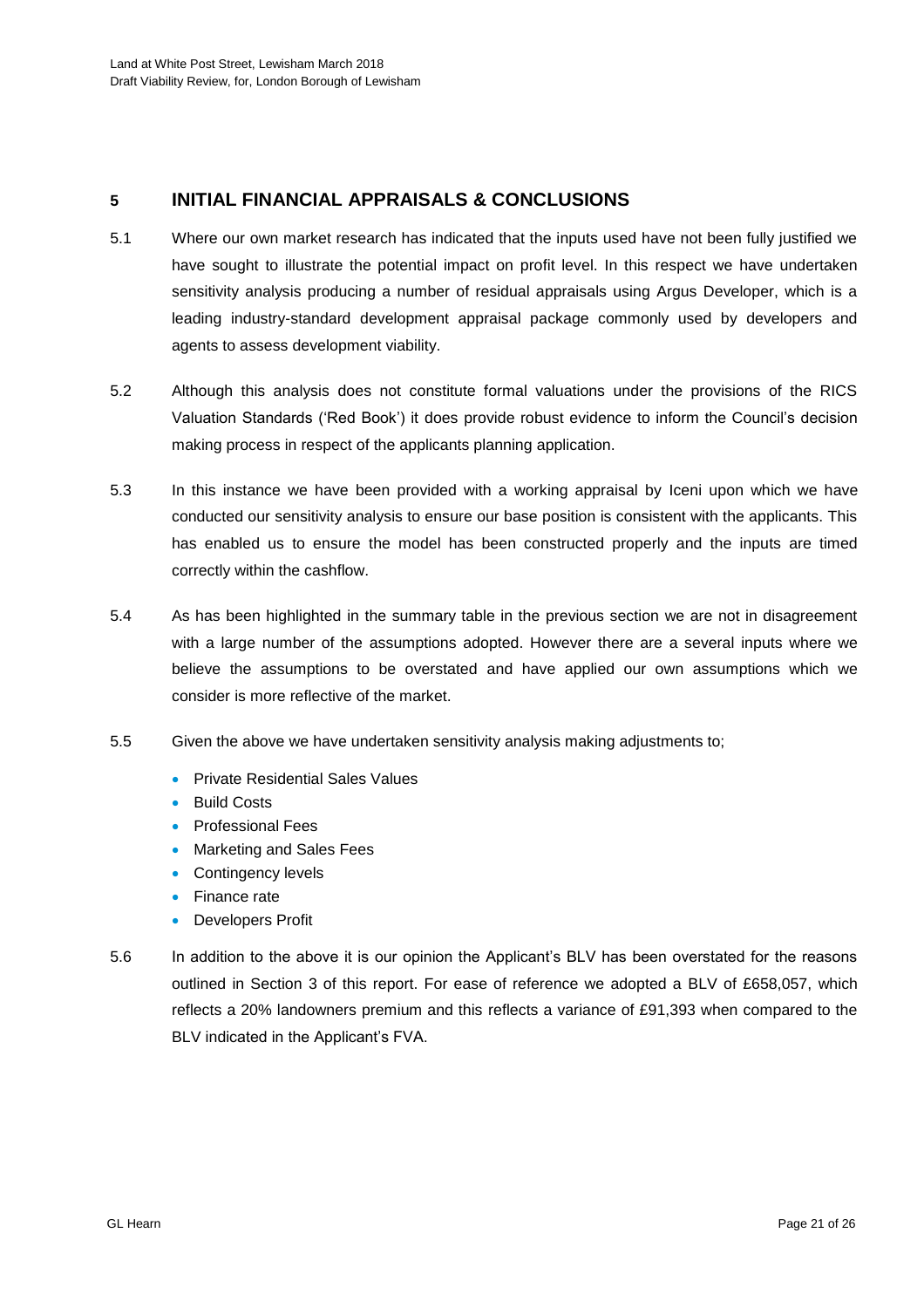### **5 INITIAL FINANCIAL APPRAISALS & CONCLUSIONS**

- 5.1 Where our own market research has indicated that the inputs used have not been fully justified we have sought to illustrate the potential impact on profit level. In this respect we have undertaken sensitivity analysis producing a number of residual appraisals using Argus Developer, which is a leading industry-standard development appraisal package commonly used by developers and agents to assess development viability.
- 5.2 Although this analysis does not constitute formal valuations under the provisions of the RICS Valuation Standards ('Red Book') it does provide robust evidence to inform the Council's decision making process in respect of the applicants planning application.
- 5.3 In this instance we have been provided with a working appraisal by Iceni upon which we have conducted our sensitivity analysis to ensure our base position is consistent with the applicants. This has enabled us to ensure the model has been constructed properly and the inputs are timed correctly within the cashflow.
- 5.4 As has been highlighted in the summary table in the previous section we are not in disagreement with a large number of the assumptions adopted. However there are a several inputs where we believe the assumptions to be overstated and have applied our own assumptions which we consider is more reflective of the market.
- 5.5 Given the above we have undertaken sensitivity analysis making adjustments to;
	- Private Residential Sales Values
	- Build Costs
	- Professional Fees
	- Marketing and Sales Fees
	- Contingency levels
	- Finance rate
	- Developers Profit
- 5.6 In addition to the above it is our opinion the Applicant's BLV has been overstated for the reasons outlined in Section 3 of this report. For ease of reference we adopted a BLV of £658,057, which reflects a 20% landowners premium and this reflects a variance of £91,393 when compared to the BLV indicated in the Applicant's FVA.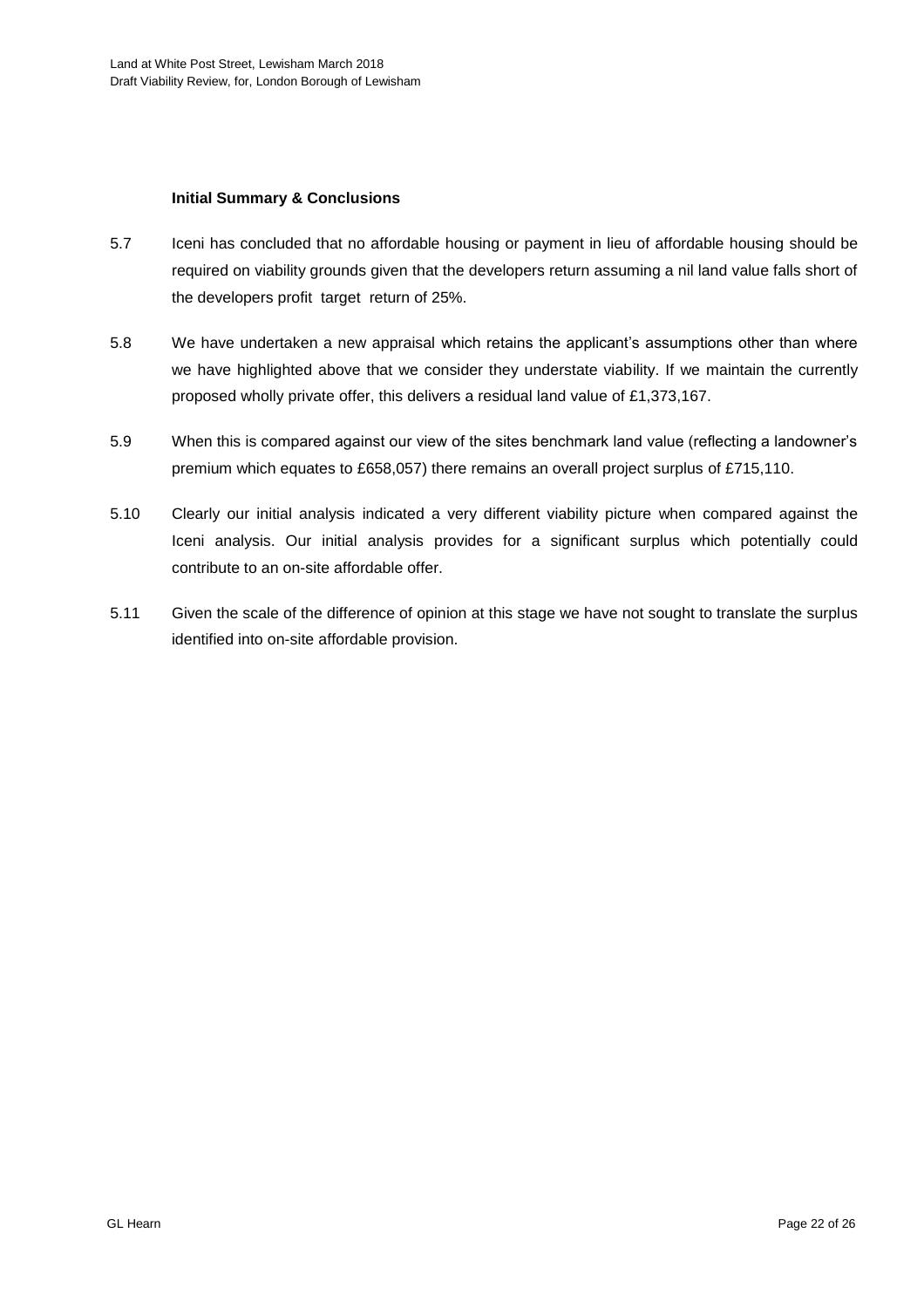#### **Initial Summary & Conclusions**

- 5.7 Iceni has concluded that no affordable housing or payment in lieu of affordable housing should be required on viability grounds given that the developers return assuming a nil land value falls short of the developers profit target return of 25%.
- 5.8 We have undertaken a new appraisal which retains the applicant's assumptions other than where we have highlighted above that we consider they understate viability. If we maintain the currently proposed wholly private offer, this delivers a residual land value of £1,373,167.
- 5.9 When this is compared against our view of the sites benchmark land value (reflecting a landowner's premium which equates to £658,057) there remains an overall project surplus of £715,110.
- 5.10 Clearly our initial analysis indicated a very different viability picture when compared against the Iceni analysis. Our initial analysis provides for a significant surplus which potentially could contribute to an on-site affordable offer.
- 5.11 Given the scale of the difference of opinion at this stage we have not sought to translate the surplus identified into on-site affordable provision.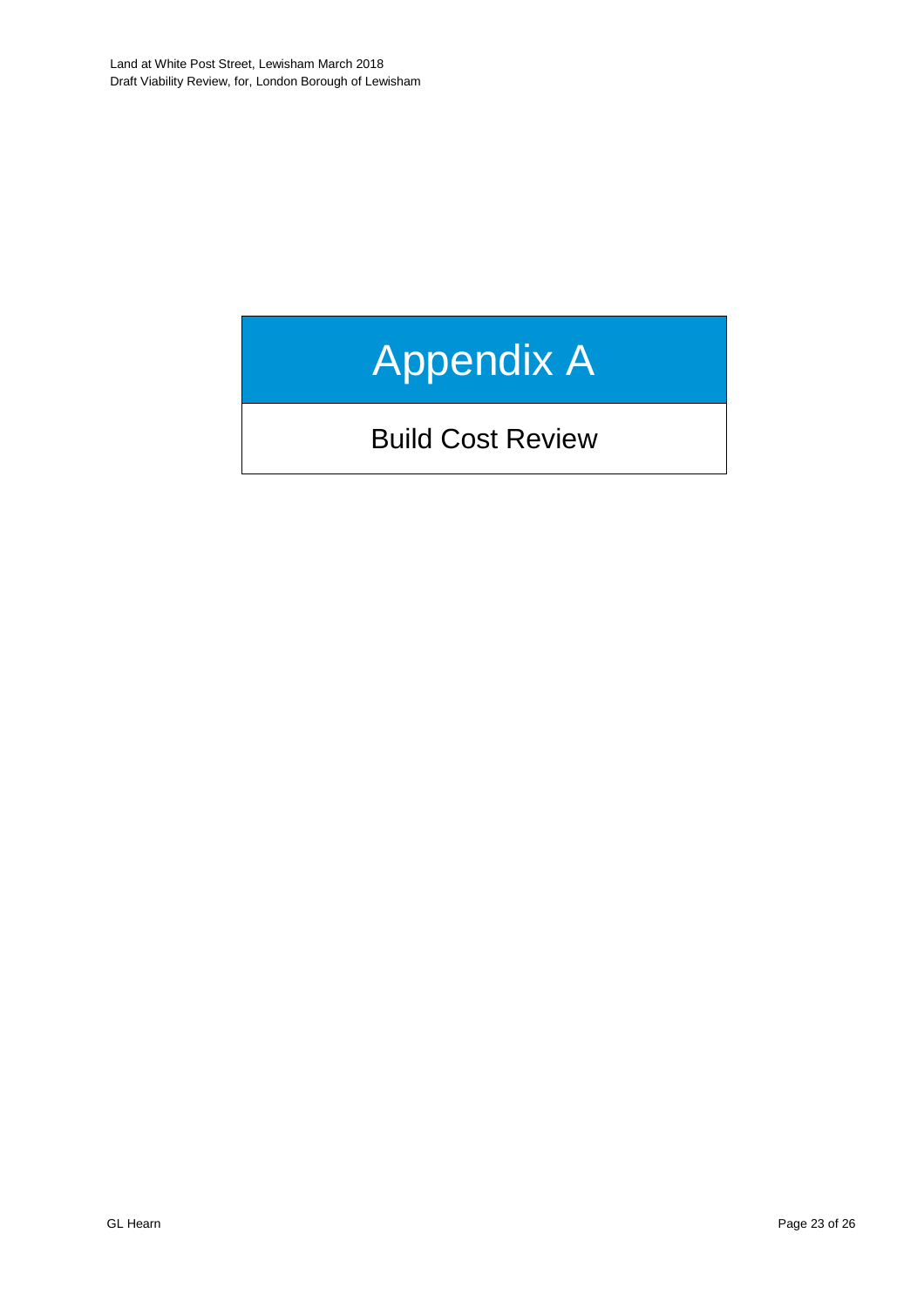# Appendix A

# Build Cost Review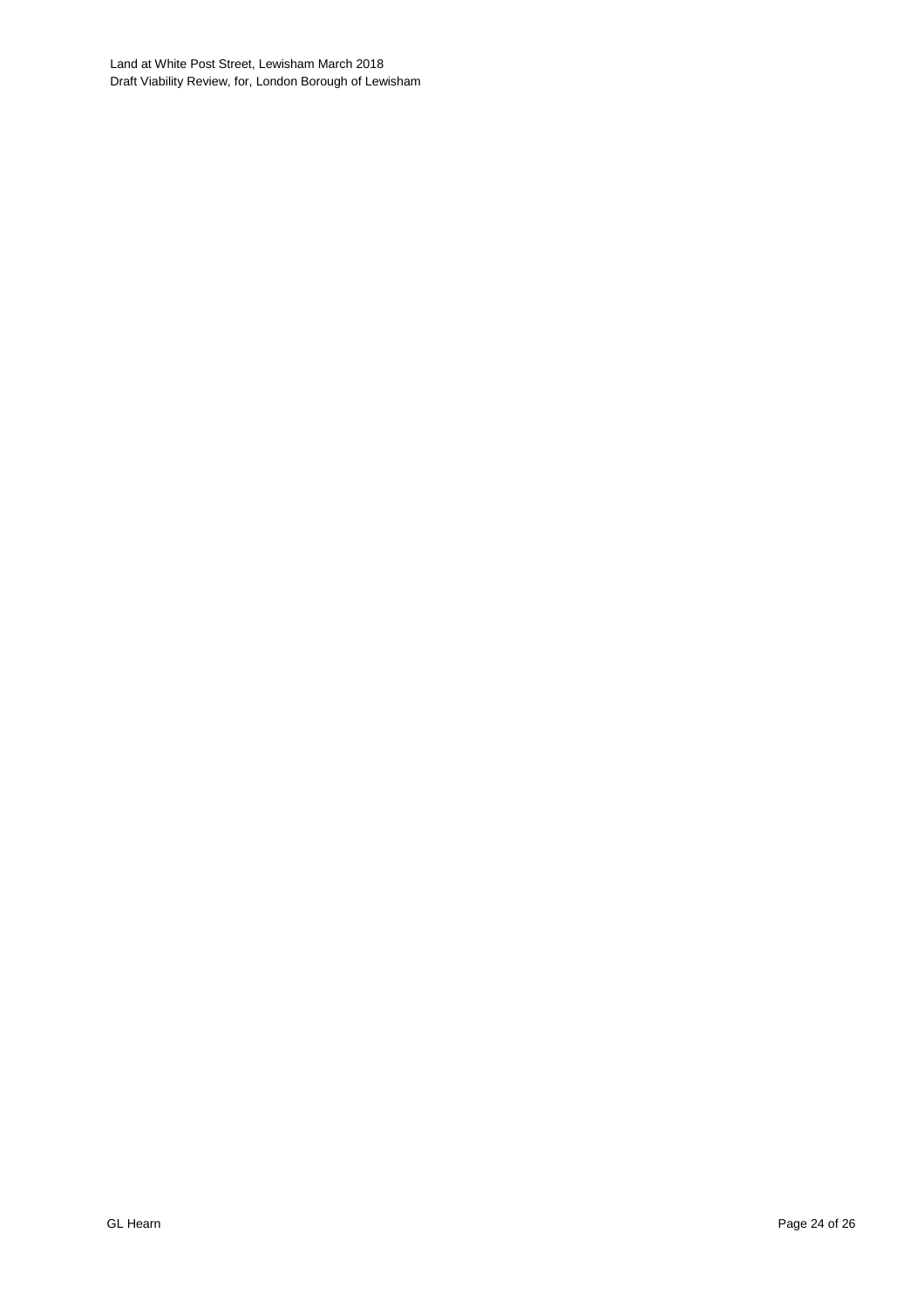Land at White Post Street, Lewisham March 2018 Draft Viability Review, for, London Borough of Lewisham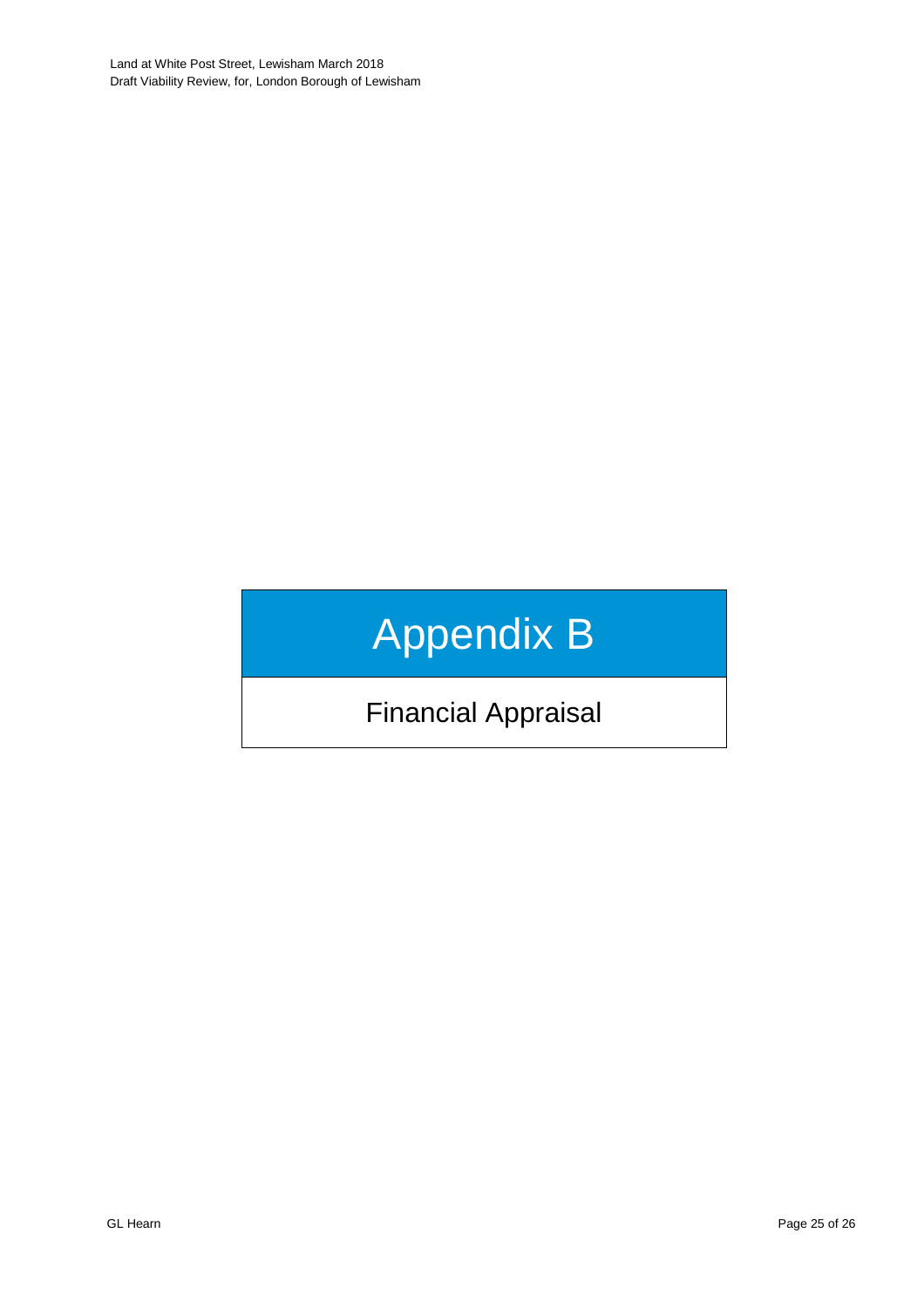Land at White Post Street, Lewisham March 2018 Draft Viability Review, for, London Borough of Lewisham

# Appendix B

# Financial Appraisal